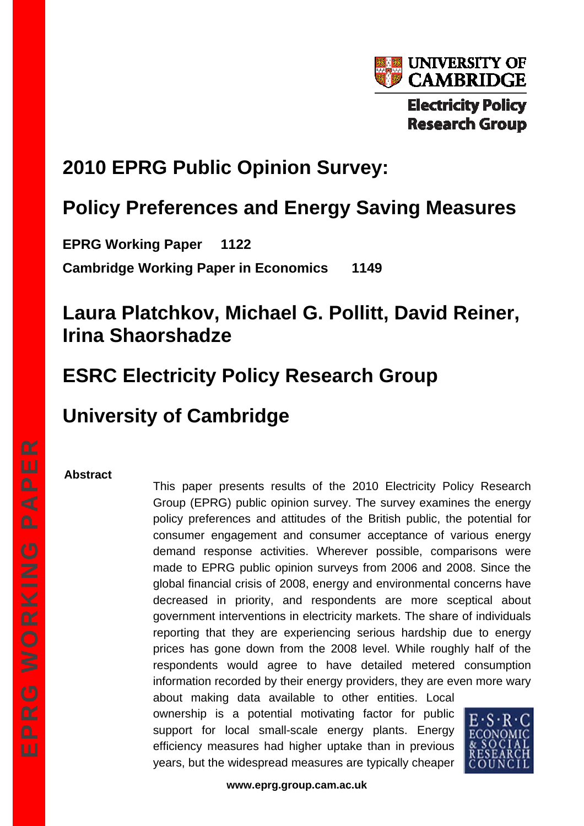

# **2010 EPRG Public Opinion Survey:**

# **Policy Preferences and Energy Saving Measures**

**EPRG Working Paper 1122 Cambridge Working Paper in Economics 1149** 

# **Laura Platchkov, Michael G. Pollitt, David Reiner, Irina Shaorshadze**

# **ESRC Electricity Policy Research Group**

# **University of Cambridge**

## **Abstract**

This paper presents results of the 2010 Electricity Policy Research Group (EPRG) public opinion survey. The survey examines the energy policy preferences and attitudes of the British public, the potential for consumer engagement and consumer acceptance of various energy demand response activities. Wherever possible, comparisons were made to EPRG public opinion surveys from 2006 and 2008. Since the global financial crisis of 2008, energy and environmental concerns have decreased in priority, and respondents are more sceptical about government interventions in electricity markets. The share of individuals reporting that they are experiencing serious hardship due to energy prices has gone down from the 2008 level. While roughly half of the respondents would agree to have detailed metered consumption information recorded by their energy providers, they are even more wary about making data available to other entities. Local ownership is a potential motivating factor for public

support for local small-scale energy plants. Energy efficiency measures had higher uptake than in previous years, but the widespread measures are typically cheaper



**www.eprg.group.cam.ac.uk**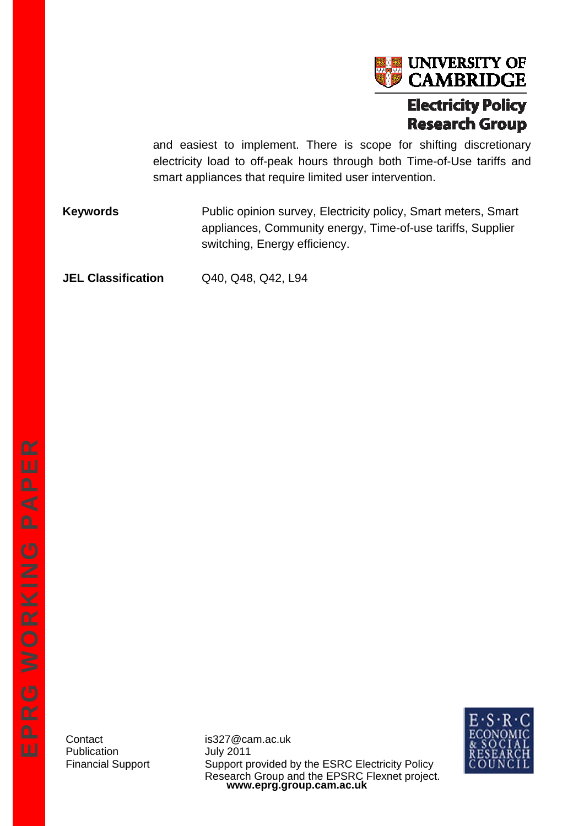

and easiest to implement. There is scope for shifting discretionary electricity load to off-peak hours through both Time-of-Use tariffs and smart appliances that require limited user intervention.

**Keywords** Public opinion survey, Electricity policy, Smart meters, Smart appliances, Community energy, Time-of-use tariffs, Supplier switching, Energy efficiency.

**JEL Classification** Q40, Q48, Q42, L94

Publication July 2011

**www.eprg.group.cam.ac.uk**  Contact is327@cam.ac.uk Financial Support Support provided by the ESRC Electricity Policy Research Group and the EPSRC Flexnet project.

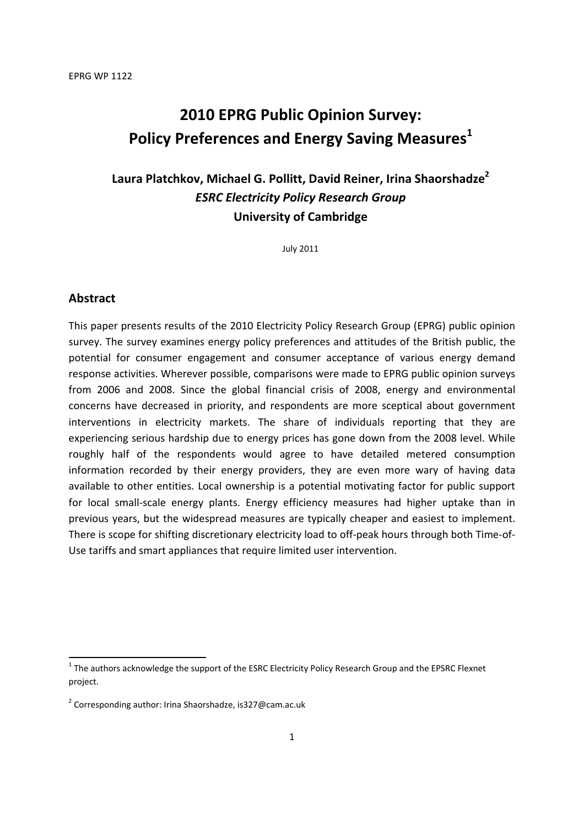# **2010 EPRG Public Opinion Survey: Policy Preferences and Energy Saving Measures1**

# **Laura Platchkov, Michael G. Pollitt, David Reiner, Irina Shaorshadze2** *ESRC Electricity Policy Research Group*  **University of Cambridge**

July 2011

## **Abstract**

**.** 

This paper presents results of the 2010 Electricity Policy Research Group (EPRG) public opinion survey. The survey examines energy policy preferences and attitudes of the British public, the potential for consumer engagement and consumer acceptance of various energy demand response activities. Wherever possible, comparisons were made to EPRG public opinion surveys from 2006 and 2008. Since the global financial crisis of 2008, energy and environmental concerns have decreased in priority, and respondents are more sceptical about government interventions in electricity markets. The share of individuals reporting that they are experiencing serious hardship due to energy prices has gone down from the 2008 level. While roughly half of the respondents would agree to have detailed metered consumption information recorded by their energy providers, they are even more wary of having data available to other entities. Local ownership is a potential motivating factor for public support for local small-scale energy plants. Energy efficiency measures had higher uptake than in previous years, but the widespread measures are typically cheaper and easiest to implement. There is scope for shifting discretionary electricity load to off-peak hours through both Time-of-Use tariffs and smart appliances that require limited user intervention.

 $1$  The authors acknowledge the support of the ESRC Electricity Policy Research Group and the EPSRC Flexnet project.

 $2$  Corresponding author: Irina Shaorshadze, is327@cam.ac.uk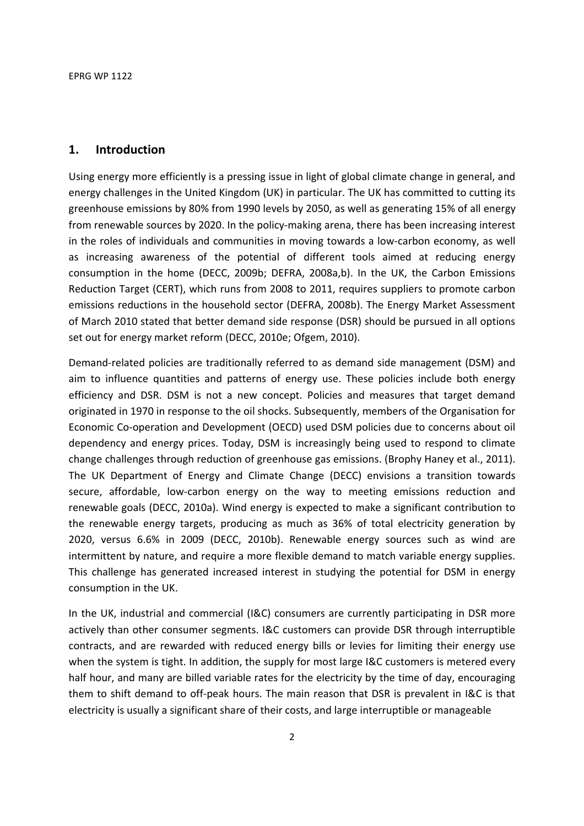## **1. Introduction**

Using energy more efficiently is a pressing issue in light of global climate change in general, and energy challenges in the United Kingdom (UK) in particular. The UK has committed to cutting its greenhouse emissions by 80% from 1990 levels by 2050, as well as generating 15% of all energy from renewable sources by 2020. In the policy-making arena, there has been increasing interest in the roles of individuals and communities in moving towards a low-carbon economy, as well as increasing awareness of the potential of different tools aimed at reducing energy consumption in the home (DECC, 2009b; DEFRA, 2008a,b). In the UK, the Carbon Emissions Reduction Target (CERT), which runs from 2008 to 2011, requires suppliers to promote carbon emissions reductions in the household sector (DEFRA, 2008b). The Energy Market Assessment of March 2010 stated that better demand side response (DSR) should be pursued in all options set out for energy market reform (DECC, 2010e; Ofgem, 2010).

Demand-related policies are traditionally referred to as demand side management (DSM) and aim to influence quantities and patterns of energy use. These policies include both energy efficiency and DSR. DSM is not a new concept. Policies and measures that target demand originated in 1970 in response to the oil shocks. Subsequently, members of the Organisation for Economic Co-operation and Development (OECD) used DSM policies due to concerns about oil dependency and energy prices. Today, DSM is increasingly being used to respond to climate change challenges through reduction of greenhouse gas emissions. (Brophy Haney et al., 2011). The UK Department of Energy and Climate Change (DECC) envisions a transition towards secure, affordable, low-carbon energy on the way to meeting emissions reduction and renewable goals (DECC, 2010a). Wind energy is expected to make a significant contribution to the renewable energy targets, producing as much as 36% of total electricity generation by 2020, versus 6.6% in 2009 (DECC, 2010b). Renewable energy sources such as wind are intermittent by nature, and require a more flexible demand to match variable energy supplies. This challenge has generated increased interest in studying the potential for DSM in energy consumption in the UK.

In the UK, industrial and commercial (I&C) consumers are currently participating in DSR more actively than other consumer segments. I&C customers can provide DSR through interruptible contracts, and are rewarded with reduced energy bills or levies for limiting their energy use when the system is tight. In addition, the supply for most large I&C customers is metered every half hour, and many are billed variable rates for the electricity by the time of day, encouraging them to shift demand to off-peak hours. The main reason that DSR is prevalent in I&C is that electricity is usually a significant share of their costs, and large interruptible or manageable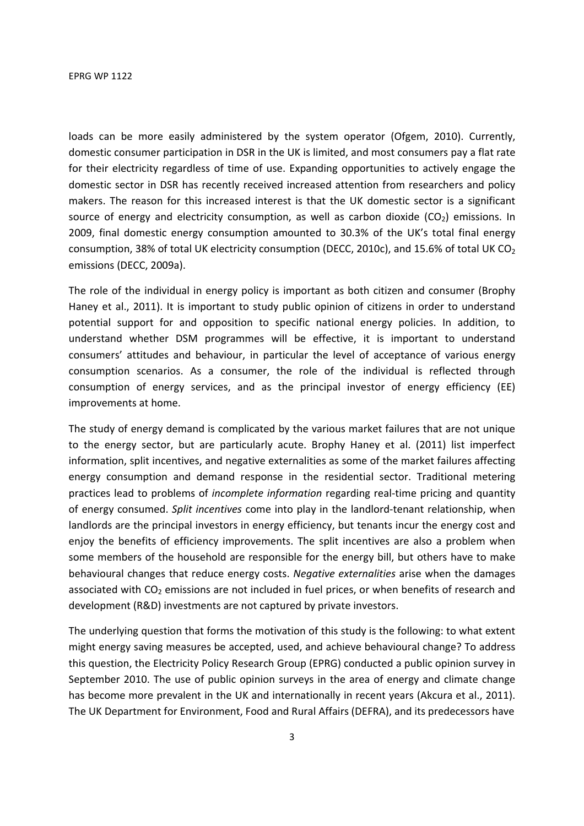loads can be more easily administered by the system operator (Ofgem, 2010). Currently, domestic consumer participation in DSR in the UK is limited, and most consumers pay a flat rate for their electricity regardless of time of use. Expanding opportunities to actively engage the domestic sector in DSR has recently received increased attention from researchers and policy makers. The reason for this increased interest is that the UK domestic sector is a significant source of energy and electricity consumption, as well as carbon dioxide  $(CO<sub>2</sub>)$  emissions. In 2009, final domestic energy consumption amounted to 30.3% of the UK's total final energy consumption, 38% of total UK electricity consumption (DECC, 2010c), and 15.6% of total UK CO<sub>2</sub> emissions (DECC, 2009a).

The role of the individual in energy policy is important as both citizen and consumer (Brophy Haney et al., 2011). It is important to study public opinion of citizens in order to understand potential support for and opposition to specific national energy policies. In addition, to understand whether DSM programmes will be effective, it is important to understand consumers' attitudes and behaviour, in particular the level of acceptance of various energy consumption scenarios. As a consumer, the role of the individual is reflected through consumption of energy services, and as the principal investor of energy efficiency (EE) improvements at home.

The study of energy demand is complicated by the various market failures that are not unique to the energy sector, but are particularly acute. Brophy Haney et al. (2011) list imperfect information, split incentives, and negative externalities as some of the market failures affecting energy consumption and demand response in the residential sector. Traditional metering practices lead to problems of *incomplete information* regarding real-time pricing and quantity of energy consumed. *Split incentives* come into play in the landlord-tenant relationship, when landlords are the principal investors in energy efficiency, but tenants incur the energy cost and enjoy the benefits of efficiency improvements. The split incentives are also a problem when some members of the household are responsible for the energy bill, but others have to make behavioural changes that reduce energy costs. *Negative externalities* arise when the damages associated with  $CO<sub>2</sub>$  emissions are not included in fuel prices, or when benefits of research and development (R&D) investments are not captured by private investors.

The underlying question that forms the motivation of this study is the following: to what extent might energy saving measures be accepted, used, and achieve behavioural change? To address this question, the Electricity Policy Research Group (EPRG) conducted a public opinion survey in September 2010. The use of public opinion surveys in the area of energy and climate change has become more prevalent in the UK and internationally in recent years (Akcura et al., 2011). The UK Department for Environment, Food and Rural Affairs (DEFRA), and its predecessors have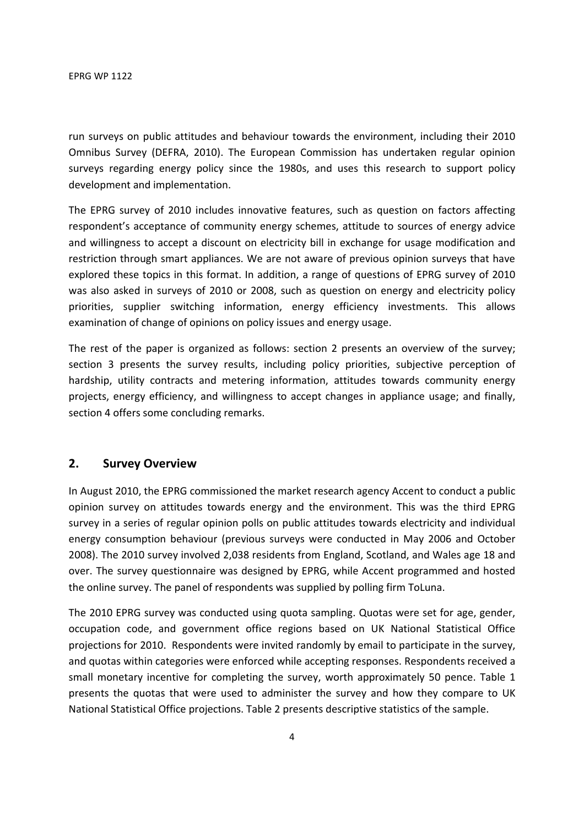run surveys on public attitudes and behaviour towards the environment, including their 2010 Omnibus Survey (DEFRA, 2010). The European Commission has undertaken regular opinion surveys regarding energy policy since the 1980s, and uses this research to support policy development and implementation.

The EPRG survey of 2010 includes innovative features, such as question on factors affecting respondent's acceptance of community energy schemes, attitude to sources of energy advice and willingness to accept a discount on electricity bill in exchange for usage modification and restriction through smart appliances. We are not aware of previous opinion surveys that have explored these topics in this format. In addition, a range of questions of EPRG survey of 2010 was also asked in surveys of 2010 or 2008, such as question on energy and electricity policy priorities, supplier switching information, energy efficiency investments. This allows examination of change of opinions on policy issues and energy usage.

The rest of the paper is organized as follows: section 2 presents an overview of the survey; section 3 presents the survey results, including policy priorities, subjective perception of hardship, utility contracts and metering information, attitudes towards community energy projects, energy efficiency, and willingness to accept changes in appliance usage; and finally, section 4 offers some concluding remarks.

## **2. Survey Overview**

In August 2010, the EPRG commissioned the market research agency Accent to conduct a public opinion survey on attitudes towards energy and the environment. This was the third EPRG survey in a series of regular opinion polls on public attitudes towards electricity and individual energy consumption behaviour (previous surveys were conducted in May 2006 and October 2008). The 2010 survey involved 2,038 residents from England, Scotland, and Wales age 18 and over. The survey questionnaire was designed by EPRG, while Accent programmed and hosted the online survey. The panel of respondents was supplied by polling firm ToLuna.

The 2010 EPRG survey was conducted using quota sampling. Quotas were set for age, gender, occupation code, and government office regions based on UK National Statistical Office projections for 2010. Respondents were invited randomly by email to participate in the survey, and quotas within categories were enforced while accepting responses. Respondents received a small monetary incentive for completing the survey, worth approximately 50 pence. Table 1 presents the quotas that were used to administer the survey and how they compare to UK National Statistical Office projections. Table 2 presents descriptive statistics of the sample.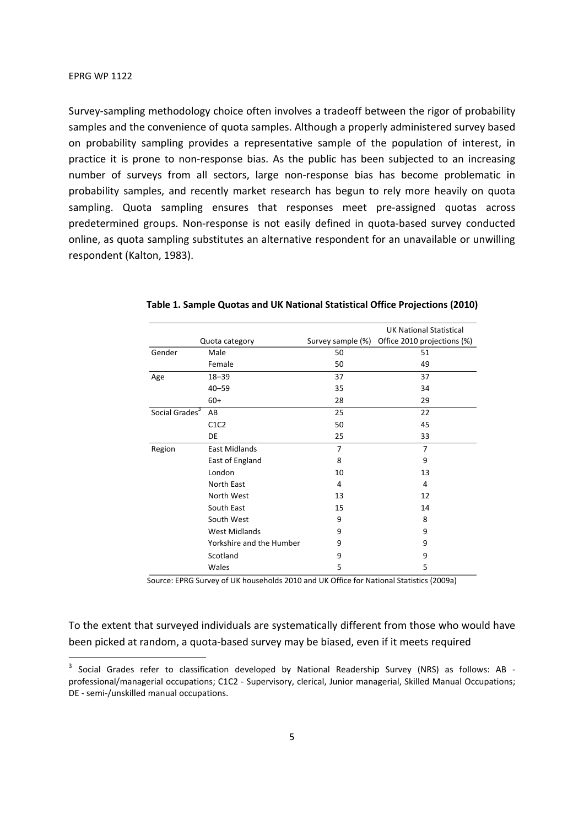-

Survey-sampling methodology choice often involves a tradeoff between the rigor of probability samples and the convenience of quota samples. Although a properly administered survey based on probability sampling provides a representative sample of the population of interest, in practice it is prone to non-response bias. As the public has been subjected to an increasing number of surveys from all sectors, large non-response bias has become problematic in probability samples, and recently market research has begun to rely more heavily on quota sampling. Quota sampling ensures that responses meet pre-assigned quotas across predetermined groups. Non-response is not easily defined in quota-based survey conducted online, as quota sampling substitutes an alternative respondent for an unavailable or unwilling respondent (Kalton, 1983).

|                            |                          |                   | <b>UK National Statistical</b> |
|----------------------------|--------------------------|-------------------|--------------------------------|
|                            | Quota category           | Survey sample (%) | Office 2010 projections (%)    |
| Gender                     | Male                     | 50                | 51                             |
|                            | Female                   | 50                | 49                             |
| Age                        | $18 - 39$                | 37                | 37                             |
|                            | $40 - 59$                | 35                | 34                             |
|                            | $60+$                    | 28                | 29                             |
| Social Grades <sup>3</sup> | AB                       | 25                | 22                             |
|                            | C1C2                     | 50                | 45                             |
|                            | DE                       | 25                | 33                             |
| Region                     | <b>East Midlands</b>     | 7                 | 7                              |
|                            | East of England          | 8                 | 9                              |
|                            | London                   | 10                | 13                             |
|                            | North East               | 4                 | 4                              |
|                            | North West               | 13                | 12                             |
|                            | South East               | 15                | 14                             |
|                            | South West               | 9                 | 8                              |
|                            | <b>West Midlands</b>     | 9                 | 9                              |
|                            | Yorkshire and the Humber | 9                 | 9                              |
|                            | Scotland                 | 9                 | 9                              |
|                            | Wales                    | 5                 | 5                              |

#### **Table 1. Sample Quotas and UK National Statistical Office Projections (2010)**

Source: EPRG Survey of UK households 2010 and UK Office for National Statistics (2009a)

To the extent that surveyed individuals are systematically different from those who would have been picked at random, a quota-based survey may be biased, even if it meets required

<sup>&</sup>lt;sup>3</sup> Social Grades refer to classification developed by National Readership Survey (NRS) as follows: AB professional/managerial occupations; C1C2 - Supervisory, clerical, Junior managerial, Skilled Manual Occupations; DE - semi-/unskilled manual occupations.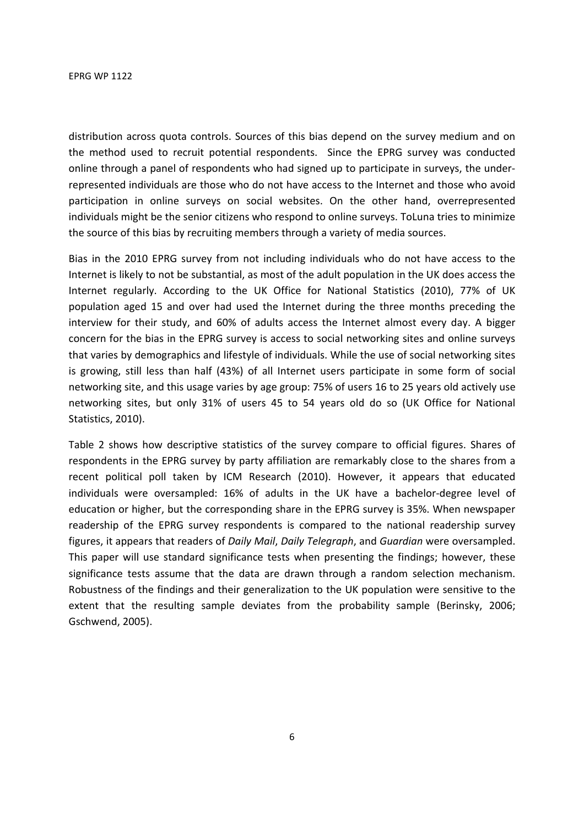distribution across quota controls. Sources of this bias depend on the survey medium and on the method used to recruit potential respondents. Since the EPRG survey was conducted online through a panel of respondents who had signed up to participate in surveys, the underrepresented individuals are those who do not have access to the Internet and those who avoid participation in online surveys on social websites. On the other hand, overrepresented individuals might be the senior citizens who respond to online surveys. ToLuna tries to minimize the source of this bias by recruiting members through a variety of media sources.

Bias in the 2010 EPRG survey from not including individuals who do not have access to the Internet is likely to not be substantial, as most of the adult population in the UK does access the Internet regularly. According to the UK Office for National Statistics (2010), 77% of UK population aged 15 and over had used the Internet during the three months preceding the interview for their study, and 60% of adults access the Internet almost every day. A bigger concern for the bias in the EPRG survey is access to social networking sites and online surveys that varies by demographics and lifestyle of individuals. While the use of social networking sites is growing, still less than half (43%) of all Internet users participate in some form of social networking site, and this usage varies by age group: 75% of users 16 to 25 years old actively use networking sites, but only 31% of users 45 to 54 years old do so (UK Office for National Statistics, 2010).

Table 2 shows how descriptive statistics of the survey compare to official figures. Shares of respondents in the EPRG survey by party affiliation are remarkably close to the shares from a recent political poll taken by ICM Research (2010). However, it appears that educated individuals were oversampled: 16% of adults in the UK have a bachelor-degree level of education or higher, but the corresponding share in the EPRG survey is 35%. When newspaper readership of the EPRG survey respondents is compared to the national readership survey figures, it appears that readers of *Daily Mail*, *Daily Telegraph*, and *Guardian* were oversampled. This paper will use standard significance tests when presenting the findings; however, these significance tests assume that the data are drawn through a random selection mechanism. Robustness of the findings and their generalization to the UK population were sensitive to the extent that the resulting sample deviates from the probability sample (Berinsky, 2006; Gschwend, 2005).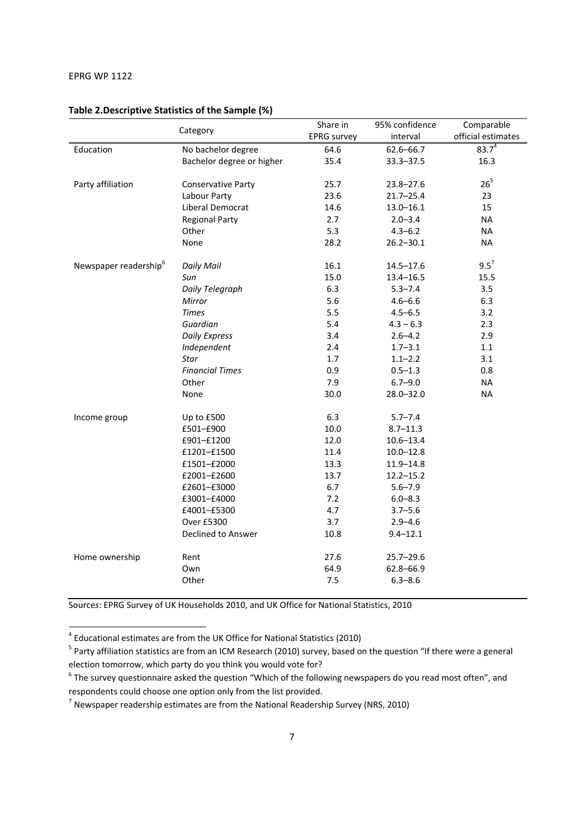| official estimates<br>interval<br>$83.7^{4}$<br>Education<br>No bachelor degree<br>$62.6 - 66.7$<br>64.6<br>Bachelor degree or higher<br>35.4<br>16.3<br>$33.3 - 37.5$<br>26 <sup>5</sup><br>Party affiliation<br>25.7<br><b>Conservative Party</b><br>$23.8 - 27.6$<br>Labour Party<br>23.6<br>$21.7 - 25.4$<br>23<br>Liberal Democrat<br>15<br>14.6<br>$13.0 - 16.1$<br>2.7<br><b>NA</b><br><b>Regional Party</b><br>$2.0 - 3.4$<br>5.3<br>Other<br>$4.3 - 6.2$<br><b>NA</b><br>None<br>28.2<br><b>NA</b><br>$26.2 - 30.1$<br>$9.5^7$<br>Newspaper readership <sup>6</sup><br><b>Daily Mail</b><br>16.1<br>$14.5 - 17.6$<br>15.0<br>15.5<br>Sun<br>$13.4 - 16.5$<br>6.3<br>Daily Telegraph<br>$5.3 - 7.4$<br>3.5<br>5.6<br>6.3<br>Mirror<br>$4.6 - 6.6$<br>5.5<br><b>Times</b><br>$4.5 - 6.5$<br>3.2<br>Guardian<br>5.4<br>2.3<br>$4.3 - 6.3$<br><b>Daily Express</b><br>3.4<br>2.9<br>$2.6 - 4.2$<br>Independent<br>2.4<br>$1.1\,$<br>$1.7 - 3.1$<br>1.7<br><b>Star</b><br>3.1<br>$1.1 - 2.2$<br><b>Financial Times</b><br>0.9<br>$0.5 - 1.3$<br>0.8<br>Other<br>7.9<br>$6.7 - 9.0$<br><b>NA</b><br>30.0<br><b>NA</b><br>None<br>28.0-32.0<br>6.3<br>$5.7 - 7.4$<br>Income group<br>Up to £500<br>10.0<br>£501-£900<br>$8.7 - 11.3$<br>£901-£1200<br>12.0<br>$10.6 - 13.4$<br>11.4<br>£1201-£1500<br>$10.0 - 12.8$<br>13.3<br>£1501-£2000<br>$11.9 - 14.8$<br>£2001-£2600<br>13.7<br>$12.2 - 15.2$<br>6.7<br>£2601-£3000<br>$5.6 - 7.9$<br>7.2<br>£3001-£4000<br>$6.0 - 8.3$<br>4.7<br>£4001-£5300<br>$3.7 - 5.6$<br>Over £5300<br>3.7<br>$2.9 - 4.6$ |          | Share in           | 95% confidence | Comparable |
|----------------------------------------------------------------------------------------------------------------------------------------------------------------------------------------------------------------------------------------------------------------------------------------------------------------------------------------------------------------------------------------------------------------------------------------------------------------------------------------------------------------------------------------------------------------------------------------------------------------------------------------------------------------------------------------------------------------------------------------------------------------------------------------------------------------------------------------------------------------------------------------------------------------------------------------------------------------------------------------------------------------------------------------------------------------------------------------------------------------------------------------------------------------------------------------------------------------------------------------------------------------------------------------------------------------------------------------------------------------------------------------------------------------------------------------------------------------------------------------------------------------------------------------------------------|----------|--------------------|----------------|------------|
|                                                                                                                                                                                                                                                                                                                                                                                                                                                                                                                                                                                                                                                                                                                                                                                                                                                                                                                                                                                                                                                                                                                                                                                                                                                                                                                                                                                                                                                                                                                                                          | Category | <b>EPRG</b> survey |                |            |
|                                                                                                                                                                                                                                                                                                                                                                                                                                                                                                                                                                                                                                                                                                                                                                                                                                                                                                                                                                                                                                                                                                                                                                                                                                                                                                                                                                                                                                                                                                                                                          |          |                    |                |            |
|                                                                                                                                                                                                                                                                                                                                                                                                                                                                                                                                                                                                                                                                                                                                                                                                                                                                                                                                                                                                                                                                                                                                                                                                                                                                                                                                                                                                                                                                                                                                                          |          |                    |                |            |
|                                                                                                                                                                                                                                                                                                                                                                                                                                                                                                                                                                                                                                                                                                                                                                                                                                                                                                                                                                                                                                                                                                                                                                                                                                                                                                                                                                                                                                                                                                                                                          |          |                    |                |            |
|                                                                                                                                                                                                                                                                                                                                                                                                                                                                                                                                                                                                                                                                                                                                                                                                                                                                                                                                                                                                                                                                                                                                                                                                                                                                                                                                                                                                                                                                                                                                                          |          |                    |                |            |
|                                                                                                                                                                                                                                                                                                                                                                                                                                                                                                                                                                                                                                                                                                                                                                                                                                                                                                                                                                                                                                                                                                                                                                                                                                                                                                                                                                                                                                                                                                                                                          |          |                    |                |            |
|                                                                                                                                                                                                                                                                                                                                                                                                                                                                                                                                                                                                                                                                                                                                                                                                                                                                                                                                                                                                                                                                                                                                                                                                                                                                                                                                                                                                                                                                                                                                                          |          |                    |                |            |
|                                                                                                                                                                                                                                                                                                                                                                                                                                                                                                                                                                                                                                                                                                                                                                                                                                                                                                                                                                                                                                                                                                                                                                                                                                                                                                                                                                                                                                                                                                                                                          |          |                    |                |            |
|                                                                                                                                                                                                                                                                                                                                                                                                                                                                                                                                                                                                                                                                                                                                                                                                                                                                                                                                                                                                                                                                                                                                                                                                                                                                                                                                                                                                                                                                                                                                                          |          |                    |                |            |
|                                                                                                                                                                                                                                                                                                                                                                                                                                                                                                                                                                                                                                                                                                                                                                                                                                                                                                                                                                                                                                                                                                                                                                                                                                                                                                                                                                                                                                                                                                                                                          |          |                    |                |            |
|                                                                                                                                                                                                                                                                                                                                                                                                                                                                                                                                                                                                                                                                                                                                                                                                                                                                                                                                                                                                                                                                                                                                                                                                                                                                                                                                                                                                                                                                                                                                                          |          |                    |                |            |
|                                                                                                                                                                                                                                                                                                                                                                                                                                                                                                                                                                                                                                                                                                                                                                                                                                                                                                                                                                                                                                                                                                                                                                                                                                                                                                                                                                                                                                                                                                                                                          |          |                    |                |            |
|                                                                                                                                                                                                                                                                                                                                                                                                                                                                                                                                                                                                                                                                                                                                                                                                                                                                                                                                                                                                                                                                                                                                                                                                                                                                                                                                                                                                                                                                                                                                                          |          |                    |                |            |
|                                                                                                                                                                                                                                                                                                                                                                                                                                                                                                                                                                                                                                                                                                                                                                                                                                                                                                                                                                                                                                                                                                                                                                                                                                                                                                                                                                                                                                                                                                                                                          |          |                    |                |            |
|                                                                                                                                                                                                                                                                                                                                                                                                                                                                                                                                                                                                                                                                                                                                                                                                                                                                                                                                                                                                                                                                                                                                                                                                                                                                                                                                                                                                                                                                                                                                                          |          |                    |                |            |
|                                                                                                                                                                                                                                                                                                                                                                                                                                                                                                                                                                                                                                                                                                                                                                                                                                                                                                                                                                                                                                                                                                                                                                                                                                                                                                                                                                                                                                                                                                                                                          |          |                    |                |            |
|                                                                                                                                                                                                                                                                                                                                                                                                                                                                                                                                                                                                                                                                                                                                                                                                                                                                                                                                                                                                                                                                                                                                                                                                                                                                                                                                                                                                                                                                                                                                                          |          |                    |                |            |
|                                                                                                                                                                                                                                                                                                                                                                                                                                                                                                                                                                                                                                                                                                                                                                                                                                                                                                                                                                                                                                                                                                                                                                                                                                                                                                                                                                                                                                                                                                                                                          |          |                    |                |            |
|                                                                                                                                                                                                                                                                                                                                                                                                                                                                                                                                                                                                                                                                                                                                                                                                                                                                                                                                                                                                                                                                                                                                                                                                                                                                                                                                                                                                                                                                                                                                                          |          |                    |                |            |
|                                                                                                                                                                                                                                                                                                                                                                                                                                                                                                                                                                                                                                                                                                                                                                                                                                                                                                                                                                                                                                                                                                                                                                                                                                                                                                                                                                                                                                                                                                                                                          |          |                    |                |            |
|                                                                                                                                                                                                                                                                                                                                                                                                                                                                                                                                                                                                                                                                                                                                                                                                                                                                                                                                                                                                                                                                                                                                                                                                                                                                                                                                                                                                                                                                                                                                                          |          |                    |                |            |
|                                                                                                                                                                                                                                                                                                                                                                                                                                                                                                                                                                                                                                                                                                                                                                                                                                                                                                                                                                                                                                                                                                                                                                                                                                                                                                                                                                                                                                                                                                                                                          |          |                    |                |            |
|                                                                                                                                                                                                                                                                                                                                                                                                                                                                                                                                                                                                                                                                                                                                                                                                                                                                                                                                                                                                                                                                                                                                                                                                                                                                                                                                                                                                                                                                                                                                                          |          |                    |                |            |
|                                                                                                                                                                                                                                                                                                                                                                                                                                                                                                                                                                                                                                                                                                                                                                                                                                                                                                                                                                                                                                                                                                                                                                                                                                                                                                                                                                                                                                                                                                                                                          |          |                    |                |            |
|                                                                                                                                                                                                                                                                                                                                                                                                                                                                                                                                                                                                                                                                                                                                                                                                                                                                                                                                                                                                                                                                                                                                                                                                                                                                                                                                                                                                                                                                                                                                                          |          |                    |                |            |
|                                                                                                                                                                                                                                                                                                                                                                                                                                                                                                                                                                                                                                                                                                                                                                                                                                                                                                                                                                                                                                                                                                                                                                                                                                                                                                                                                                                                                                                                                                                                                          |          |                    |                |            |
|                                                                                                                                                                                                                                                                                                                                                                                                                                                                                                                                                                                                                                                                                                                                                                                                                                                                                                                                                                                                                                                                                                                                                                                                                                                                                                                                                                                                                                                                                                                                                          |          |                    |                |            |
|                                                                                                                                                                                                                                                                                                                                                                                                                                                                                                                                                                                                                                                                                                                                                                                                                                                                                                                                                                                                                                                                                                                                                                                                                                                                                                                                                                                                                                                                                                                                                          |          |                    |                |            |
|                                                                                                                                                                                                                                                                                                                                                                                                                                                                                                                                                                                                                                                                                                                                                                                                                                                                                                                                                                                                                                                                                                                                                                                                                                                                                                                                                                                                                                                                                                                                                          |          |                    |                |            |
|                                                                                                                                                                                                                                                                                                                                                                                                                                                                                                                                                                                                                                                                                                                                                                                                                                                                                                                                                                                                                                                                                                                                                                                                                                                                                                                                                                                                                                                                                                                                                          |          |                    |                |            |
|                                                                                                                                                                                                                                                                                                                                                                                                                                                                                                                                                                                                                                                                                                                                                                                                                                                                                                                                                                                                                                                                                                                                                                                                                                                                                                                                                                                                                                                                                                                                                          |          |                    |                |            |
|                                                                                                                                                                                                                                                                                                                                                                                                                                                                                                                                                                                                                                                                                                                                                                                                                                                                                                                                                                                                                                                                                                                                                                                                                                                                                                                                                                                                                                                                                                                                                          |          |                    |                |            |
|                                                                                                                                                                                                                                                                                                                                                                                                                                                                                                                                                                                                                                                                                                                                                                                                                                                                                                                                                                                                                                                                                                                                                                                                                                                                                                                                                                                                                                                                                                                                                          |          |                    |                |            |
| Declined to Answer<br>10.8<br>$9.4 - 12.1$                                                                                                                                                                                                                                                                                                                                                                                                                                                                                                                                                                                                                                                                                                                                                                                                                                                                                                                                                                                                                                                                                                                                                                                                                                                                                                                                                                                                                                                                                                               |          |                    |                |            |
| 27.6<br>Home ownership<br>Rent<br>$25.7 - 29.6$                                                                                                                                                                                                                                                                                                                                                                                                                                                                                                                                                                                                                                                                                                                                                                                                                                                                                                                                                                                                                                                                                                                                                                                                                                                                                                                                                                                                                                                                                                          |          |                    |                |            |
| Own<br>64.9<br>62.8-66.9                                                                                                                                                                                                                                                                                                                                                                                                                                                                                                                                                                                                                                                                                                                                                                                                                                                                                                                                                                                                                                                                                                                                                                                                                                                                                                                                                                                                                                                                                                                                 |          |                    |                |            |
| Other<br>7.5<br>$6.3 - 8.6$                                                                                                                                                                                                                                                                                                                                                                                                                                                                                                                                                                                                                                                                                                                                                                                                                                                                                                                                                                                                                                                                                                                                                                                                                                                                                                                                                                                                                                                                                                                              |          |                    |                |            |

### **Table 2.Descriptive Statistics of the Sample (%)**

Source*s*: EPRG Survey of UK Households 2010, and UK Office for National Statistics, 2010

 4 Educational estimates are from the UK Office for National Statistics (2010)

<sup>&</sup>lt;sup>5</sup> Party affiliation statistics are from an ICM Research (2010) survey, based on the question "If there were a general election tomorrow, which party do you think you would vote for?

 $^6$  The survey questionnaire asked the question "Which of the following newspapers do you read most often", and respondents could choose one option only from the list provided.

 $^7$  Newspaper readership estimates are from the National Readership Survey (NRS, 2010)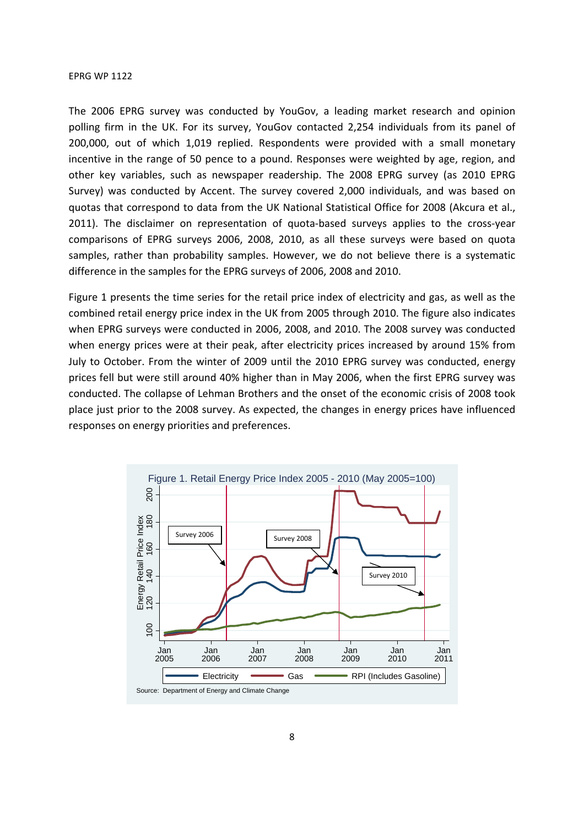The 2006 EPRG survey was conducted by YouGov, a leading market research and opinion polling firm in the UK. For its survey, YouGov contacted 2,254 individuals from its panel of 200,000, out of which 1,019 replied. Respondents were provided with a small monetary incentive in the range of 50 pence to a pound. Responses were weighted by age, region, and other key variables, such as newspaper readership. The 2008 EPRG survey (as 2010 EPRG Survey) was conducted by Accent. The survey covered 2,000 individuals, and was based on quotas that correspond to data from the UK National Statistical Office for 2008 (Akcura et al., 2011). The disclaimer on representation of quota-based surveys applies to the cross-year comparisons of EPRG surveys 2006, 2008, 2010, as all these surveys were based on quota samples, rather than probability samples. However, we do not believe there is a systematic difference in the samples for the EPRG surveys of 2006, 2008 and 2010.

Figure 1 presents the time series for the retail price index of electricity and gas, as well as the combined retail energy price index in the UK from 2005 through 2010. The figure also indicates when EPRG surveys were conducted in 2006, 2008, and 2010. The 2008 survey was conducted when energy prices were at their peak, after electricity prices increased by around 15% from July to October. From the winter of 2009 until the 2010 EPRG survey was conducted, energy prices fell but were still around 40% higher than in May 2006, when the first EPRG survey was conducted. The collapse of Lehman Brothers and the onset of the economic crisis of 2008 took place just prior to the 2008 survey. As expected, the changes in energy prices have influenced responses on energy priorities and preferences.

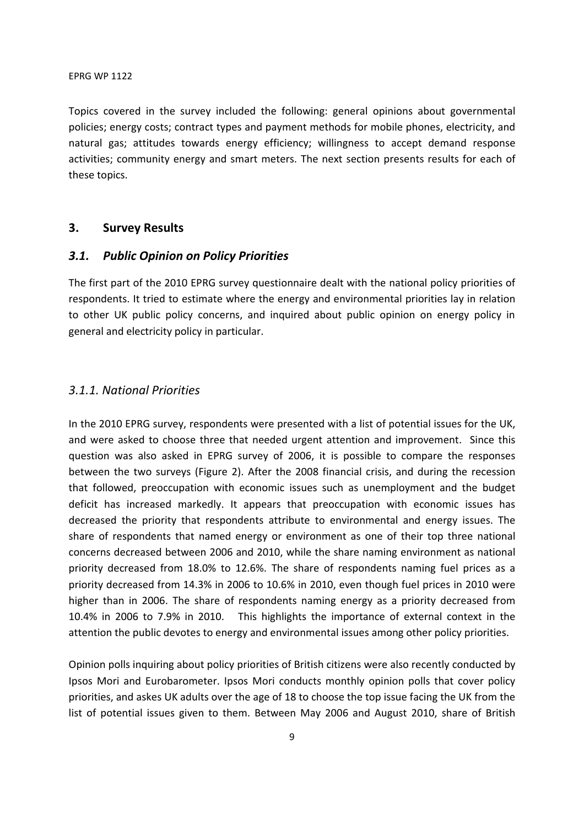Topics covered in the survey included the following: general opinions about governmental policies; energy costs; contract types and payment methods for mobile phones, electricity, and natural gas; attitudes towards energy efficiency; willingness to accept demand response activities; community energy and smart meters. The next section presents results for each of these topics.

## **3. Survey Results**

### *3.1. Public Opinion on Policy Priorities*

The first part of the 2010 EPRG survey questionnaire dealt with the national policy priorities of respondents. It tried to estimate where the energy and environmental priorities lay in relation to other UK public policy concerns, and inquired about public opinion on energy policy in general and electricity policy in particular.

### *3.1.1. National Priorities*

In the 2010 EPRG survey, respondents were presented with a list of potential issues for the UK, and were asked to choose three that needed urgent attention and improvement. Since this question was also asked in EPRG survey of 2006, it is possible to compare the responses between the two surveys (Figure 2). After the 2008 financial crisis, and during the recession that followed, preoccupation with economic issues such as unemployment and the budget deficit has increased markedly. It appears that preoccupation with economic issues has decreased the priority that respondents attribute to environmental and energy issues. The share of respondents that named energy or environment as one of their top three national concerns decreased between 2006 and 2010, while the share naming environment as national priority decreased from 18.0% to 12.6%. The share of respondents naming fuel prices as a priority decreased from 14.3% in 2006 to 10.6% in 2010, even though fuel prices in 2010 were higher than in 2006. The share of respondents naming energy as a priority decreased from 10.4% in 2006 to 7.9% in 2010. This highlights the importance of external context in the attention the public devotes to energy and environmental issues among other policy priorities.

Opinion polls inquiring about policy priorities of British citizens were also recently conducted by Ipsos Mori and Eurobarometer. Ipsos Mori conducts monthly opinion polls that cover policy priorities, and askes UK adults over the age of 18 to choose the top issue facing the UK from the list of potential issues given to them. Between May 2006 and August 2010, share of British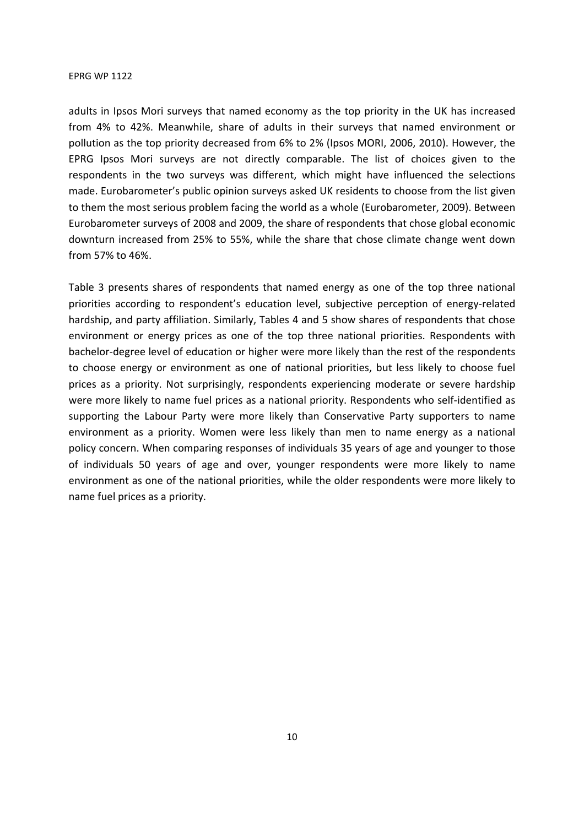adults in Ipsos Mori surveys that named economy as the top priority in the UK has increased from 4% to 42%. Meanwhile, share of adults in their surveys that named environment or pollution as the top priority decreased from 6% to 2% (Ipsos MORI, 2006, 2010). However, the EPRG Ipsos Mori surveys are not directly comparable. The list of choices given to the respondents in the two surveys was different, which might have influenced the selections made. Eurobarometer's public opinion surveys asked UK residents to choose from the list given to them the most serious problem facing the world as a whole (Eurobarometer, 2009). Between Eurobarometer surveys of 2008 and 2009, the share of respondents that chose global economic downturn increased from 25% to 55%, while the share that chose climate change went down from 57% to 46%.

Table 3 presents shares of respondents that named energy as one of the top three national priorities according to respondent's education level, subjective perception of energy-related hardship, and party affiliation. Similarly, Tables 4 and 5 show shares of respondents that chose environment or energy prices as one of the top three national priorities. Respondents with bachelor-degree level of education or higher were more likely than the rest of the respondents to choose energy or environment as one of national priorities, but less likely to choose fuel prices as a priority. Not surprisingly, respondents experiencing moderate or severe hardship were more likely to name fuel prices as a national priority. Respondents who self-identified as supporting the Labour Party were more likely than Conservative Party supporters to name environment as a priority. Women were less likely than men to name energy as a national policy concern. When comparing responses of individuals 35 years of age and younger to those of individuals 50 years of age and over, younger respondents were more likely to name environment as one of the national priorities, while the older respondents were more likely to name fuel prices as a priority.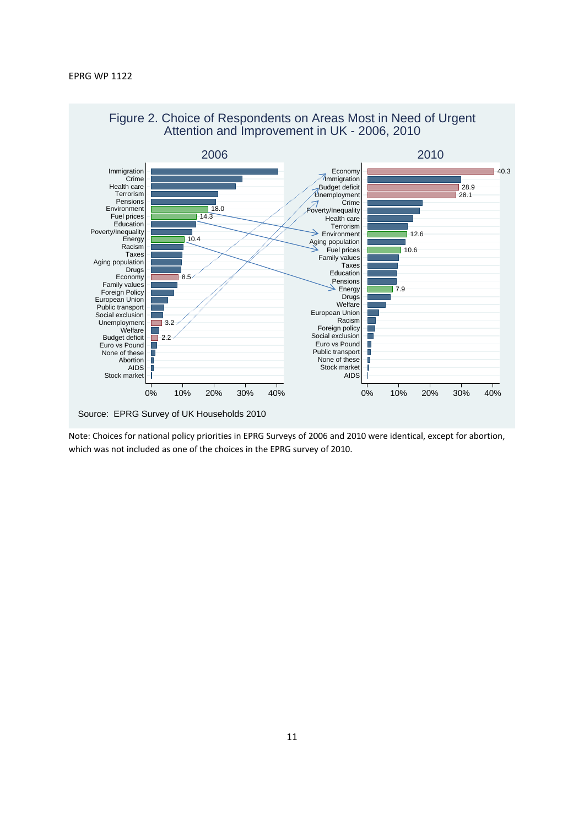



Note: Choices for national policy priorities in EPRG Surveys of 2006 and 2010 were identical, except for abortion, which was not included as one of the choices in the EPRG survey of 2010.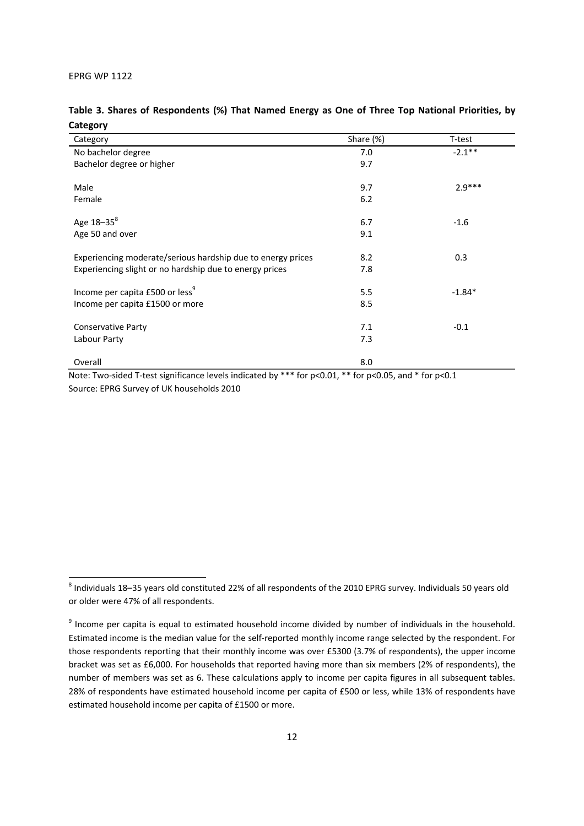-

|          | Table 3. Shares of Respondents (%) That Named Energy as One of Three Top National Priorities, by |  |  |  |  |  |
|----------|--------------------------------------------------------------------------------------------------|--|--|--|--|--|
| Category |                                                                                                  |  |  |  |  |  |

| Category                                                    | Share (%) | T-test    |
|-------------------------------------------------------------|-----------|-----------|
| No bachelor degree                                          | 7.0       | $-2.1***$ |
| Bachelor degree or higher                                   | 9.7       |           |
|                                                             |           |           |
| Male                                                        | 9.7       | $2.9***$  |
| Female                                                      | 6.2       |           |
|                                                             |           |           |
| Age 18-35 <sup>8</sup>                                      | 6.7       | $-1.6$    |
| Age 50 and over                                             | 9.1       |           |
|                                                             |           |           |
| Experiencing moderate/serious hardship due to energy prices | 8.2       | 0.3       |
| Experiencing slight or no hardship due to energy prices     | 7.8       |           |
|                                                             |           |           |
| Income per capita £500 or less <sup>9</sup>                 | 5.5       | $-1.84*$  |
| Income per capita £1500 or more                             | 8.5       |           |
|                                                             |           |           |
| <b>Conservative Party</b>                                   | 7.1       | $-0.1$    |
| Labour Party                                                | 7.3       |           |
| Overall                                                     | 8.0       |           |
|                                                             |           |           |

Note: Two-sided T-test significance levels indicated by \*\*\* for p<0.01, \*\* for p<0.05, and \* for p<0.1 Source: EPRG Survey of UK households 2010

 $^8$  Individuals 18–35 years old constituted 22% of all respondents of the 2010 EPRG survey. Individuals 50 years old or older were 47% of all respondents.

<sup>&</sup>lt;sup>9</sup> Income per capita is equal to estimated household income divided by number of individuals in the household. Estimated income is the median value for the self-reported monthly income range selected by the respondent. For those respondents reporting that their monthly income was over £5300 (3.7% of respondents), the upper income bracket was set as £6,000. For households that reported having more than six members (2% of respondents), the number of members was set as 6. These calculations apply to income per capita figures in all subsequent tables. 28% of respondents have estimated household income per capita of £500 or less, while 13% of respondents have estimated household income per capita of £1500 or more.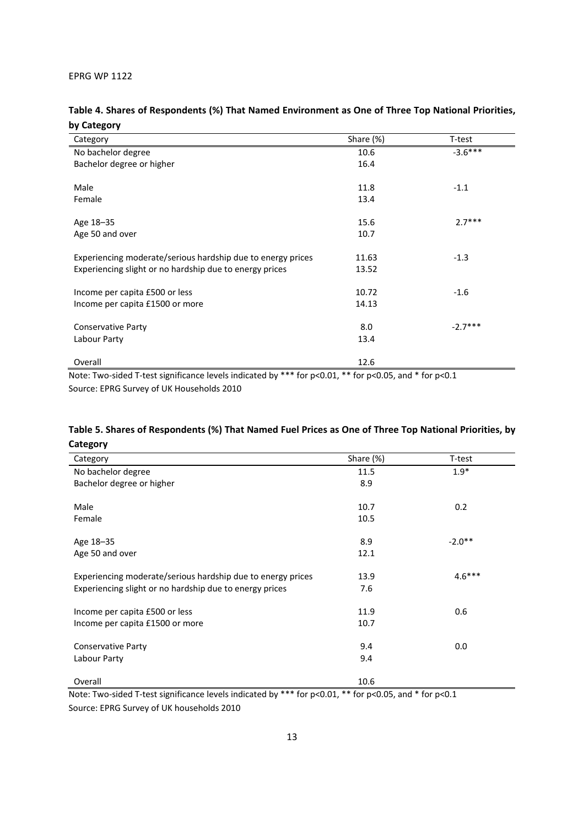## **Table 4. Shares of Respondents (%) That Named Environment as One of Three Top National Priorities, by Category**

| Category                                                    | Share (%) | T-test    |
|-------------------------------------------------------------|-----------|-----------|
| No bachelor degree                                          | 10.6      | $-3.6***$ |
| Bachelor degree or higher                                   | 16.4      |           |
|                                                             |           |           |
| Male                                                        | 11.8      | $-1.1$    |
| Female                                                      | 13.4      |           |
|                                                             |           |           |
| Age 18-35                                                   | 15.6      | $2.7***$  |
| Age 50 and over                                             | 10.7      |           |
|                                                             |           |           |
| Experiencing moderate/serious hardship due to energy prices | 11.63     | $-1.3$    |
| Experiencing slight or no hardship due to energy prices     | 13.52     |           |
|                                                             |           |           |
| Income per capita £500 or less                              | 10.72     | $-1.6$    |
| Income per capita £1500 or more                             | 14.13     |           |
| <b>Conservative Party</b>                                   | 8.0       | $-2.7***$ |
|                                                             |           |           |
| Labour Party                                                | 13.4      |           |
| Overall                                                     | 12.6      |           |

Note: Two-sided T-test significance levels indicated by \*\*\* for p<0.01, \*\* for p<0.05, and \* for p<0.1 Source: EPRG Survey of UK Households 2010

## **Table 5. Shares of Respondents (%) That Named Fuel Prices as One of Three Top National Priorities, by Category**

| Category                                                    | Share (%) | T-test   |
|-------------------------------------------------------------|-----------|----------|
| No bachelor degree                                          | 11.5      | $1.9*$   |
| Bachelor degree or higher                                   | 8.9       |          |
|                                                             |           |          |
| Male                                                        | 10.7      | 0.2      |
| Female                                                      | 10.5      |          |
| Age 18-35                                                   | 8.9       | $-2.0**$ |
|                                                             |           |          |
| Age 50 and over                                             | 12.1      |          |
| Experiencing moderate/serious hardship due to energy prices | 13.9      | $4.6***$ |
| Experiencing slight or no hardship due to energy prices     | 7.6       |          |
|                                                             |           |          |
| Income per capita £500 or less                              | 11.9      | 0.6      |
| Income per capita £1500 or more                             | 10.7      |          |
| <b>Conservative Party</b>                                   | 9.4       | 0.0      |
| Labour Party                                                | 9.4       |          |
|                                                             |           |          |
| Overall                                                     | 10.6      |          |

Note: Two-sided T-test significance levels indicated by \*\*\* for p<0.01, \*\* for p<0.05, and \* for p<0.1 Source: EPRG Survey of UK households 2010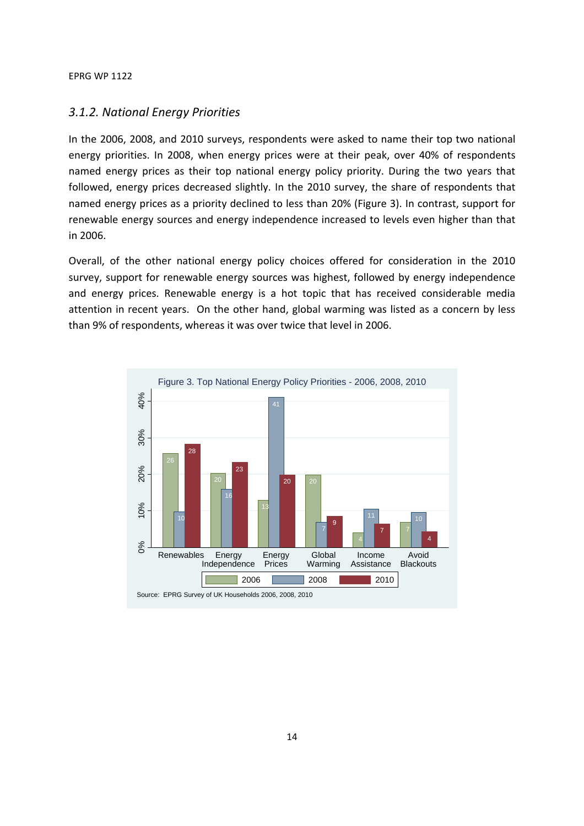## *3.1.2. National Energy Priorities*

In the 2006, 2008, and 2010 surveys, respondents were asked to name their top two national energy priorities. In 2008, when energy prices were at their peak, over 40% of respondents named energy prices as their top national energy policy priority. During the two years that followed, energy prices decreased slightly. In the 2010 survey, the share of respondents that named energy prices as a priority declined to less than 20% (Figure 3). In contrast, support for renewable energy sources and energy independence increased to levels even higher than that in 2006.

Overall, of the other national energy policy choices offered for consideration in the 2010 survey, support for renewable energy sources was highest, followed by energy independence and energy prices. Renewable energy is a hot topic that has received considerable media attention in recent years. On the other hand, global warming was listed as a concern by less than 9% of respondents, whereas it was over twice that level in 2006.

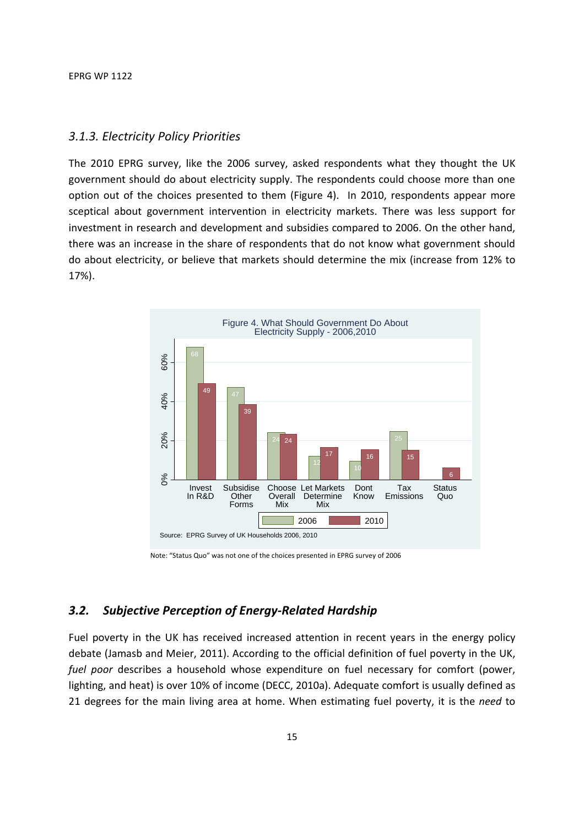## *3.1.3. Electricity Policy Priorities*

The 2010 EPRG survey, like the 2006 survey, asked respondents what they thought the UK government should do about electricity supply. The respondents could choose more than one option out of the choices presented to them (Figure 4). In 2010, respondents appear more sceptical about government intervention in electricity markets. There was less support for investment in research and development and subsidies compared to 2006. On the other hand, there was an increase in the share of respondents that do not know what government should do about electricity, or believe that markets should determine the mix (increase from 12% to 17%).



Note: "Status Quo" was not one of the choices presented in EPRG survey of 2006

## *3.2. Subjective Perception of Energy-Related Hardship*

Fuel poverty in the UK has received increased attention in recent years in the energy policy debate (Jamasb and Meier, 2011). According to the official definition of fuel poverty in the UK, *fuel poor* describes a household whose expenditure on fuel necessary for comfort (power, lighting, and heat) is over 10% of income (DECC, 2010a). Adequate comfort is usually defined as 21 degrees for the main living area at home. When estimating fuel poverty, it is the *need* to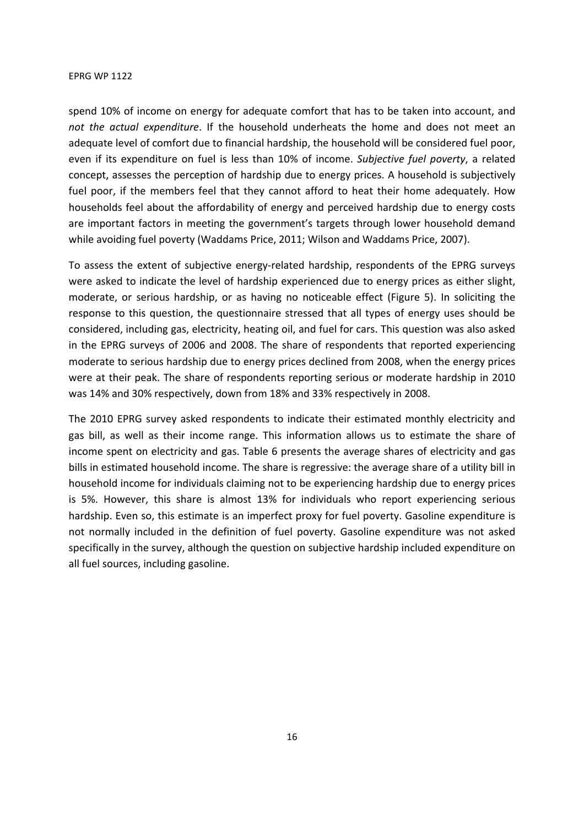spend 10% of income on energy for adequate comfort that has to be taken into account, and *not the actual expenditure*. If the household underheats the home and does not meet an adequate level of comfort due to financial hardship, the household will be considered fuel poor, even if its expenditure on fuel is less than 10% of income. *Subjective fuel poverty*, a related concept, assesses the perception of hardship due to energy prices. A household is subjectively fuel poor, if the members feel that they cannot afford to heat their home adequately. How households feel about the affordability of energy and perceived hardship due to energy costs are important factors in meeting the government's targets through lower household demand while avoiding fuel poverty (Waddams Price, 2011; Wilson and Waddams Price, 2007).

To assess the extent of subjective energy-related hardship, respondents of the EPRG surveys were asked to indicate the level of hardship experienced due to energy prices as either slight, moderate, or serious hardship, or as having no noticeable effect (Figure 5). In soliciting the response to this question, the questionnaire stressed that all types of energy uses should be considered, including gas, electricity, heating oil, and fuel for cars. This question was also asked in the EPRG surveys of 2006 and 2008. The share of respondents that reported experiencing moderate to serious hardship due to energy prices declined from 2008, when the energy prices were at their peak. The share of respondents reporting serious or moderate hardship in 2010 was 14% and 30% respectively, down from 18% and 33% respectively in 2008.

The 2010 EPRG survey asked respondents to indicate their estimated monthly electricity and gas bill, as well as their income range. This information allows us to estimate the share of income spent on electricity and gas. Table 6 presents the average shares of electricity and gas bills in estimated household income. The share is regressive: the average share of a utility bill in household income for individuals claiming not to be experiencing hardship due to energy prices is 5%. However, this share is almost 13% for individuals who report experiencing serious hardship. Even so, this estimate is an imperfect proxy for fuel poverty. Gasoline expenditure is not normally included in the definition of fuel poverty. Gasoline expenditure was not asked specifically in the survey, although the question on subjective hardship included expenditure on all fuel sources, including gasoline.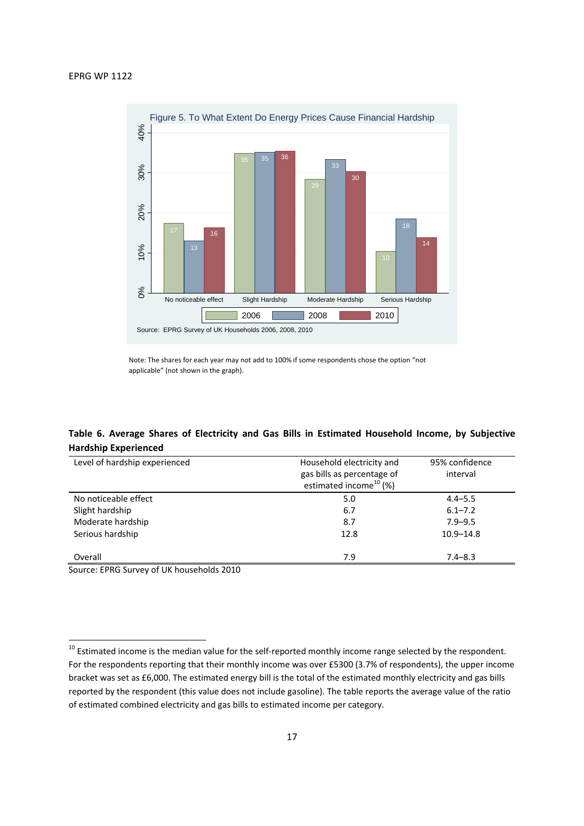

Note: The shares for each year may not add to 100% if some respondents chose the option "not applicable" (not shown in the graph).

## **Table 6. Average Shares of Electricity and Gas Bills in Estimated Household Income, by Subjective Hardship Experienced**

| Level of hardship experienced | Household electricity and          | 95% confidence |
|-------------------------------|------------------------------------|----------------|
|                               | gas bills as percentage of         | interval       |
|                               | estimated income <sup>10</sup> (%) |                |
| No noticeable effect          | 5.0                                | $4.4 - 5.5$    |
| Slight hardship               | 6.7                                | $6.1 - 7.2$    |
| Moderate hardship             | 8.7                                | $7.9 - 9.5$    |
| Serious hardship              | 12.8                               | $10.9 - 14.8$  |
|                               |                                    |                |
| Overall                       | 7.9                                | $7.4 - 8.3$    |
| .<br>.                        |                                    |                |

Source: EPRG Survey of UK households 2010

**.** 

<sup>&</sup>lt;sup>10</sup> Estimated income is the median value for the self-reported monthly income range selected by the respondent. For the respondents reporting that their monthly income was over £5300 (3.7% of respondents), the upper income bracket was set as £6,000. The estimated energy bill is the total of the estimated monthly electricity and gas bills reported by the respondent (this value does not include gasoline). The table reports the average value of the ratio of estimated combined electricity and gas bills to estimated income per category.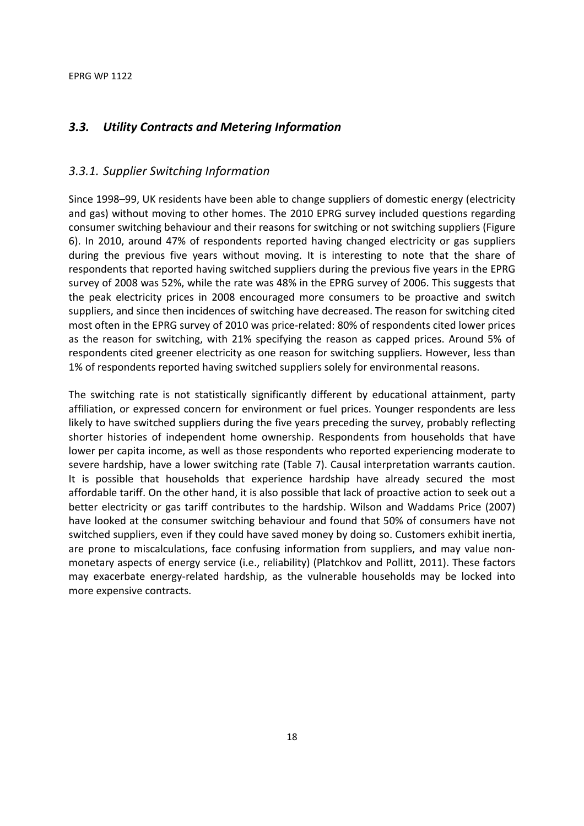## *3.3. Utility Contracts and Metering Information*

## *3.3.1. Supplier Switching Information*

Since 1998–99, UK residents have been able to change suppliers of domestic energy (electricity and gas) without moving to other homes. The 2010 EPRG survey included questions regarding consumer switching behaviour and their reasons for switching or not switching suppliers (Figure 6). In 2010, around 47% of respondents reported having changed electricity or gas suppliers during the previous five years without moving. It is interesting to note that the share of respondents that reported having switched suppliers during the previous five years in the EPRG survey of 2008 was 52%, while the rate was 48% in the EPRG survey of 2006. This suggests that the peak electricity prices in 2008 encouraged more consumers to be proactive and switch suppliers, and since then incidences of switching have decreased. The reason for switching cited most often in the EPRG survey of 2010 was price-related: 80% of respondents cited lower prices as the reason for switching, with 21% specifying the reason as capped prices. Around 5% of respondents cited greener electricity as one reason for switching suppliers. However, less than 1% of respondents reported having switched suppliers solely for environmental reasons.

The switching rate is not statistically significantly different by educational attainment, party affiliation, or expressed concern for environment or fuel prices. Younger respondents are less likely to have switched suppliers during the five years preceding the survey, probably reflecting shorter histories of independent home ownership. Respondents from households that have lower per capita income, as well as those respondents who reported experiencing moderate to severe hardship, have a lower switching rate (Table 7). Causal interpretation warrants caution. It is possible that households that experience hardship have already secured the most affordable tariff. On the other hand, it is also possible that lack of proactive action to seek out a better electricity or gas tariff contributes to the hardship. Wilson and Waddams Price (2007) have looked at the consumer switching behaviour and found that 50% of consumers have not switched suppliers, even if they could have saved money by doing so. Customers exhibit inertia, are prone to miscalculations, face confusing information from suppliers, and may value nonmonetary aspects of energy service (i.e., reliability) (Platchkov and Pollitt, 2011). These factors may exacerbate energy-related hardship, as the vulnerable households may be locked into more expensive contracts.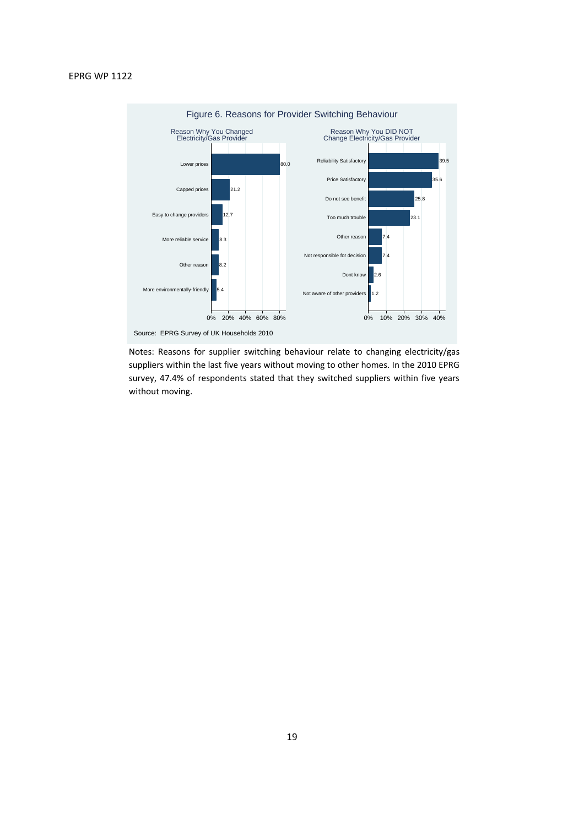

Source: EPRG Survey of UK Households 2010

Notes: Reasons for supplier switching behaviour relate to changing electricity/gas suppliers within the last five years without moving to other homes. In the 2010 EPRG survey, 47.4% of respondents stated that they switched suppliers within five years without moving.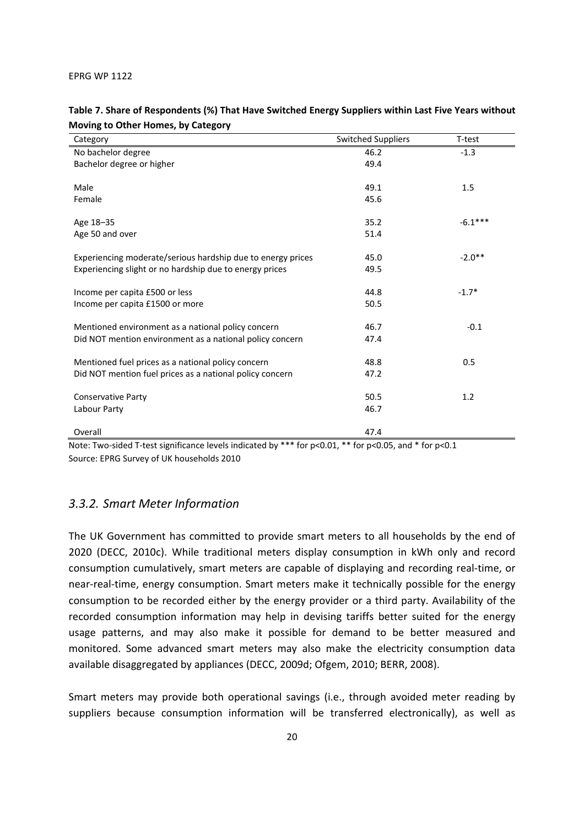| Category                                                    | <b>Switched Suppliers</b> | T-test    |
|-------------------------------------------------------------|---------------------------|-----------|
| No bachelor degree                                          | 46.2                      | $-1.3$    |
| Bachelor degree or higher                                   | 49.4                      |           |
| Male                                                        | 49.1                      | 1.5       |
| Female                                                      | 45.6                      |           |
| Age 18-35                                                   | 35.2                      | $-6.1***$ |
| Age 50 and over                                             | 51.4                      |           |
| Experiencing moderate/serious hardship due to energy prices | 45.0                      | $-2.0**$  |
| Experiencing slight or no hardship due to energy prices     | 49.5                      |           |
| Income per capita £500 or less                              | 44.8                      | $-1.7*$   |
| Income per capita £1500 or more                             | 50.5                      |           |
| Mentioned environment as a national policy concern          | 46.7                      | $-0.1$    |
| Did NOT mention environment as a national policy concern    | 47.4                      |           |
| Mentioned fuel prices as a national policy concern          | 48.8                      | 0.5       |
| Did NOT mention fuel prices as a national policy concern    | 47.2                      |           |
| <b>Conservative Party</b>                                   | 50.5                      | 1.2       |
| Labour Party                                                | 46.7                      |           |
| Overall                                                     | 47.4                      |           |

## **Table 7. Share of Respondents (%) That Have Switched Energy Suppliers within Last Five Years without Moving to Other Homes, by Category**

Note: Two-sided T-test significance levels indicated by \*\*\* for p<0.01, \*\* for p<0.05, and \* for p<0.1 Source: EPRG Survey of UK households 2010

## *3.3.2. Smart Meter Information*

The UK Government has committed to provide smart meters to all households by the end of 2020 (DECC, 2010c). While traditional meters display consumption in kWh only and record consumption cumulatively, smart meters are capable of displaying and recording real-time, or near-real-time, energy consumption. Smart meters make it technically possible for the energy consumption to be recorded either by the energy provider or a third party. Availability of the recorded consumption information may help in devising tariffs better suited for the energy usage patterns, and may also make it possible for demand to be better measured and monitored. Some advanced smart meters may also make the electricity consumption data available disaggregated by appliances (DECC, 2009d; Ofgem, 2010; BERR, 2008).

Smart meters may provide both operational savings (i.e., through avoided meter reading by suppliers because consumption information will be transferred electronically), as well as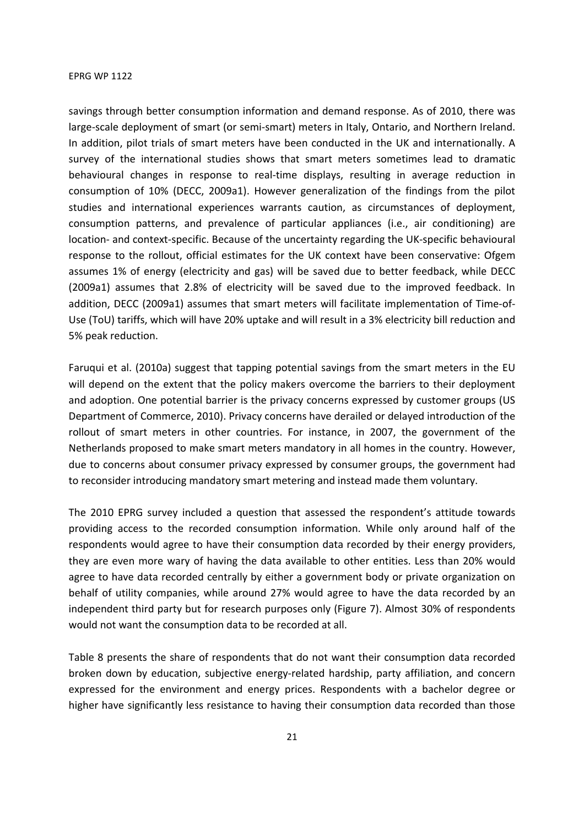savings through better consumption information and demand response. As of 2010, there was large-scale deployment of smart (or semi-smart) meters in Italy, Ontario, and Northern Ireland. In addition, pilot trials of smart meters have been conducted in the UK and internationally. A survey of the international studies shows that smart meters sometimes lead to dramatic behavioural changes in response to real-time displays, resulting in average reduction in consumption of 10% (DECC, 2009a1). However generalization of the findings from the pilot studies and international experiences warrants caution, as circumstances of deployment, consumption patterns, and prevalence of particular appliances (i.e., air conditioning) are location- and context-specific. Because of the uncertainty regarding the UK-specific behavioural response to the rollout, official estimates for the UK context have been conservative: Ofgem assumes 1% of energy (electricity and gas) will be saved due to better feedback, while DECC (2009a1) assumes that 2.8% of electricity will be saved due to the improved feedback. In addition, DECC (2009a1) assumes that smart meters will facilitate implementation of Time-of-Use (ToU) tariffs, which will have 20% uptake and will result in a 3% electricity bill reduction and 5% peak reduction.

Faruqui et al. (2010a) suggest that tapping potential savings from the smart meters in the EU will depend on the extent that the policy makers overcome the barriers to their deployment and adoption. One potential barrier is the privacy concerns expressed by customer groups (US Department of Commerce, 2010). Privacy concerns have derailed or delayed introduction of the rollout of smart meters in other countries. For instance, in 2007, the government of the Netherlands proposed to make smart meters mandatory in all homes in the country. However, due to concerns about consumer privacy expressed by consumer groups, the government had to reconsider introducing mandatory smart metering and instead made them voluntary.

The 2010 EPRG survey included a question that assessed the respondent's attitude towards providing access to the recorded consumption information. While only around half of the respondents would agree to have their consumption data recorded by their energy providers, they are even more wary of having the data available to other entities. Less than 20% would agree to have data recorded centrally by either a government body or private organization on behalf of utility companies, while around 27% would agree to have the data recorded by an independent third party but for research purposes only (Figure 7). Almost 30% of respondents would not want the consumption data to be recorded at all.

Table 8 presents the share of respondents that do not want their consumption data recorded broken down by education, subjective energy-related hardship, party affiliation, and concern expressed for the environment and energy prices. Respondents with a bachelor degree or higher have significantly less resistance to having their consumption data recorded than those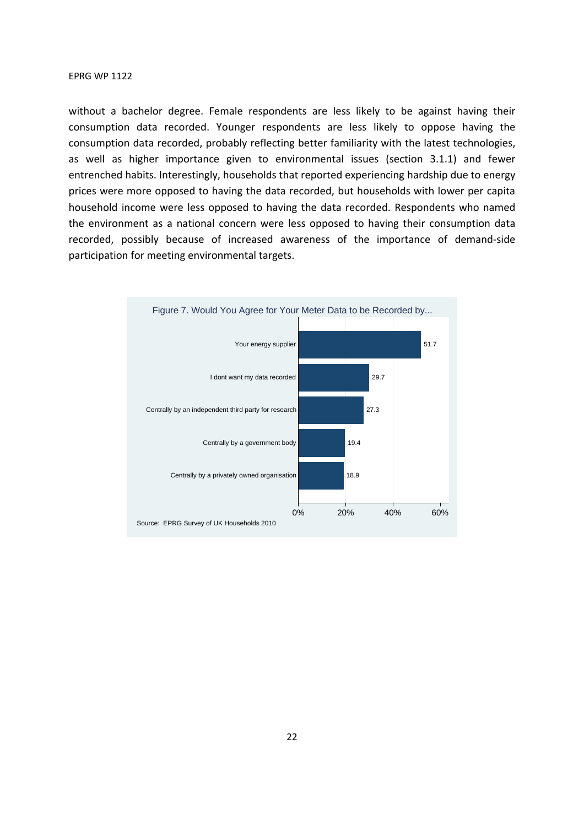without a bachelor degree. Female respondents are less likely to be against having their consumption data recorded. Younger respondents are less likely to oppose having the consumption data recorded, probably reflecting better familiarity with the latest technologies, as well as higher importance given to environmental issues (section 3.1.1) and fewer entrenched habits. Interestingly, households that reported experiencing hardship due to energy prices were more opposed to having the data recorded, but households with lower per capita household income were less opposed to having the data recorded. Respondents who named the environment as a national concern were less opposed to having their consumption data recorded, possibly because of increased awareness of the importance of demand-side participation for meeting environmental targets.

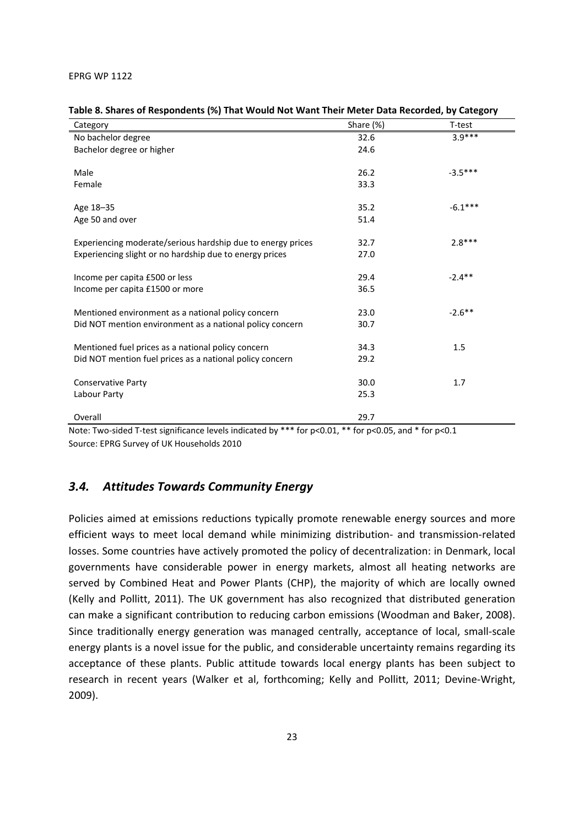| Category                                                    | Share (%) | T-test    |
|-------------------------------------------------------------|-----------|-----------|
| No bachelor degree                                          | 32.6      | $3.9***$  |
| Bachelor degree or higher                                   | 24.6      |           |
|                                                             |           |           |
| Male                                                        | 26.2      | $-3.5***$ |
| Female                                                      | 33.3      |           |
| Age 18-35                                                   | 35.2      | $-6.1***$ |
| Age 50 and over                                             | 51.4      |           |
|                                                             |           |           |
| Experiencing moderate/serious hardship due to energy prices | 32.7      | $2.8***$  |
| Experiencing slight or no hardship due to energy prices     | 27.0      |           |
|                                                             |           |           |
| Income per capita £500 or less                              | 29.4      | $-2.4**$  |
| Income per capita £1500 or more                             | 36.5      |           |
| Mentioned environment as a national policy concern          | 23.0      | $-2.6***$ |
| Did NOT mention environment as a national policy concern    | 30.7      |           |
|                                                             |           |           |
| Mentioned fuel prices as a national policy concern          | 34.3      | 1.5       |
| Did NOT mention fuel prices as a national policy concern    | 29.2      |           |
| <b>Conservative Party</b>                                   | 30.0      | 1.7       |
| Labour Party                                                | 25.3      |           |
|                                                             |           |           |
| Overall                                                     | 29.7      |           |

|  | Table 8. Shares of Respondents (%) That Would Not Want Their Meter Data Recorded, by Category |  |
|--|-----------------------------------------------------------------------------------------------|--|
|--|-----------------------------------------------------------------------------------------------|--|

Note: Two-sided T-test significance levels indicated by \*\*\* for p<0.01, \*\* for p<0.05, and \* for p<0.1 Source: EPRG Survey of UK Households 2010

## *3.4. Attitudes Towards Community Energy*

Policies aimed at emissions reductions typically promote renewable energy sources and more efficient ways to meet local demand while minimizing distribution- and transmission-related losses. Some countries have actively promoted the policy of decentralization: in Denmark, local governments have considerable power in energy markets, almost all heating networks are served by Combined Heat and Power Plants (CHP), the majority of which are locally owned (Kelly and Pollitt, 2011). The UK government has also recognized that distributed generation can make a significant contribution to reducing carbon emissions (Woodman and Baker, 2008). Since traditionally energy generation was managed centrally, acceptance of local, small-scale energy plants is a novel issue for the public, and considerable uncertainty remains regarding its acceptance of these plants. Public attitude towards local energy plants has been subject to research in recent years (Walker et al, forthcoming; Kelly and Pollitt, 2011; Devine-Wright, 2009).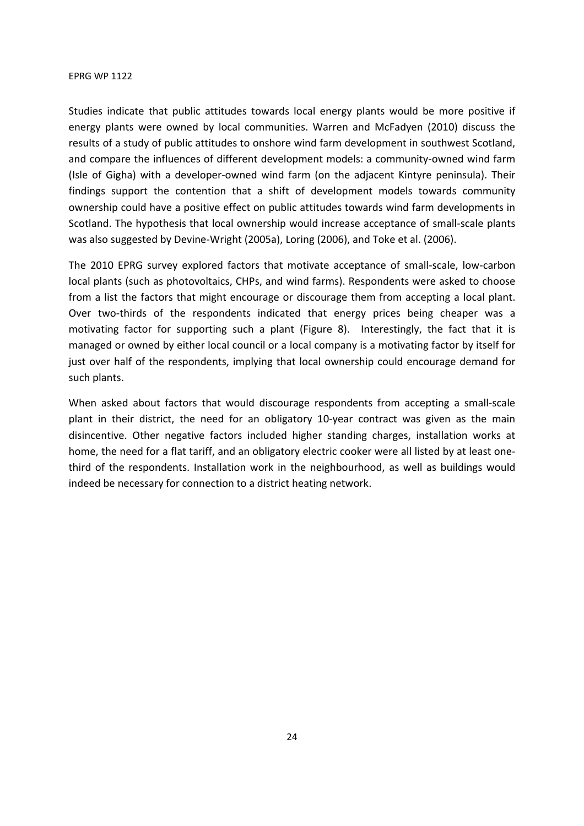Studies indicate that public attitudes towards local energy plants would be more positive if energy plants were owned by local communities. Warren and McFadyen (2010) discuss the results of a study of public attitudes to onshore wind farm development in southwest Scotland, and compare the influences of different development models: a community-owned wind farm (Isle of Gigha) with a developer-owned wind farm (on the adjacent Kintyre peninsula). Their findings support the contention that a shift of development models towards community ownership could have a positive effect on public attitudes towards wind farm developments in Scotland. The hypothesis that local ownership would increase acceptance of small-scale plants was also suggested by Devine-Wright (2005a), Loring (2006), and Toke et al. (2006).

The 2010 EPRG survey explored factors that motivate acceptance of small-scale, low-carbon local plants (such as photovoltaics, CHPs, and wind farms). Respondents were asked to choose from a list the factors that might encourage or discourage them from accepting a local plant. Over two-thirds of the respondents indicated that energy prices being cheaper was a motivating factor for supporting such a plant (Figure 8). Interestingly, the fact that it is managed or owned by either local council or a local company is a motivating factor by itself for just over half of the respondents, implying that local ownership could encourage demand for such plants.

When asked about factors that would discourage respondents from accepting a small-scale plant in their district, the need for an obligatory 10-year contract was given as the main disincentive. Other negative factors included higher standing charges, installation works at home, the need for a flat tariff, and an obligatory electric cooker were all listed by at least onethird of the respondents. Installation work in the neighbourhood, as well as buildings would indeed be necessary for connection to a district heating network.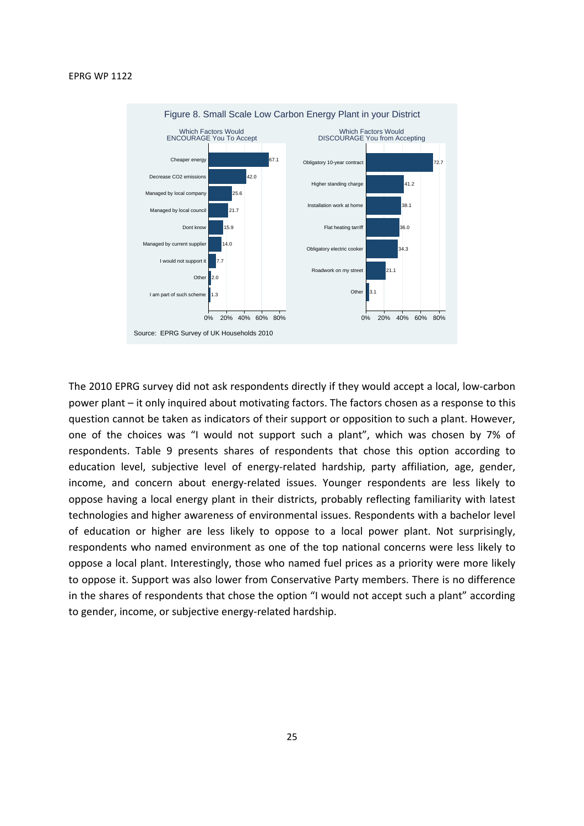

The 2010 EPRG survey did not ask respondents directly if they would accept a local, low-carbon power plant – it only inquired about motivating factors. The factors chosen as a response to this question cannot be taken as indicators of their support or opposition to such a plant. However, one of the choices was "I would not support such a plant", which was chosen by 7% of respondents. Table 9 presents shares of respondents that chose this option according to education level, subjective level of energy-related hardship, party affiliation, age, gender, income, and concern about energy-related issues. Younger respondents are less likely to oppose having a local energy plant in their districts, probably reflecting familiarity with latest technologies and higher awareness of environmental issues. Respondents with a bachelor level of education or higher are less likely to oppose to a local power plant. Not surprisingly, respondents who named environment as one of the top national concerns were less likely to oppose a local plant. Interestingly, those who named fuel prices as a priority were more likely to oppose it. Support was also lower from Conservative Party members. There is no difference in the shares of respondents that chose the option "I would not accept such a plant" according to gender, income, or subjective energy-related hardship.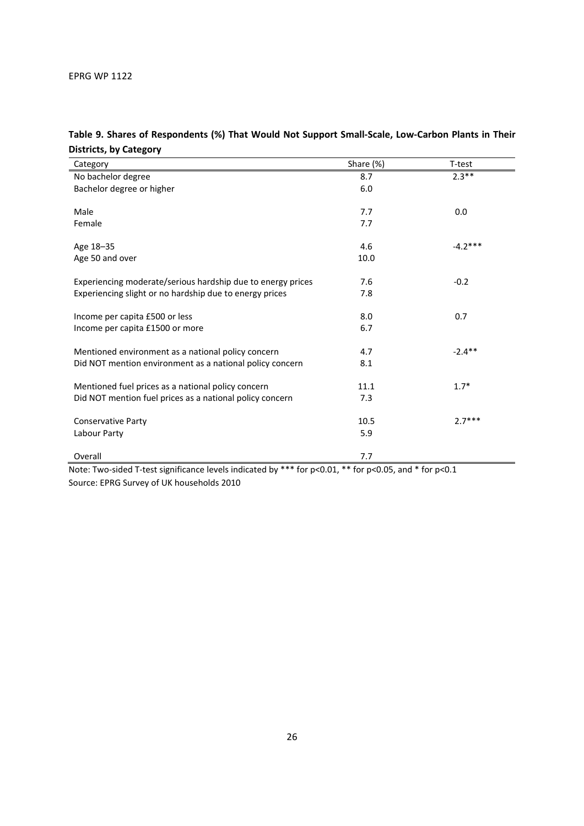| Category                                                    | Share (%) | T-test    |
|-------------------------------------------------------------|-----------|-----------|
| No bachelor degree                                          | 8.7       | $2.3**$   |
| Bachelor degree or higher                                   | 6.0       |           |
|                                                             |           |           |
| Male                                                        | 7.7       | 0.0       |
| Female                                                      | 7.7       |           |
| Age 18-35                                                   | 4.6       | $-4.2***$ |
| Age 50 and over                                             | 10.0      |           |
|                                                             |           |           |
| Experiencing moderate/serious hardship due to energy prices | 7.6       | $-0.2$    |
| Experiencing slight or no hardship due to energy prices     | 7.8       |           |
|                                                             |           |           |
| Income per capita £500 or less                              | 8.0       | 0.7       |
| Income per capita £1500 or more                             | 6.7       |           |
|                                                             |           |           |
| Mentioned environment as a national policy concern          | 4.7       | $-2.4***$ |
| Did NOT mention environment as a national policy concern    | 8.1       |           |
| Mentioned fuel prices as a national policy concern          | 11.1      | $1.7*$    |
| Did NOT mention fuel prices as a national policy concern    | 7.3       |           |
|                                                             |           |           |
| <b>Conservative Party</b>                                   | 10.5      | $2.7***$  |
| Labour Party                                                | 5.9       |           |
|                                                             |           |           |
| Overall                                                     | 7.7       |           |

## **Table 9. Shares of Respondents (%) That Would Not Support Small-Scale, Low-Carbon Plants in Their Districts, by Category**

Note: Two-sided T-test significance levels indicated by \*\*\* for p<0.01, \*\* for p<0.05, and \* for p<0.1 Source: EPRG Survey of UK households 2010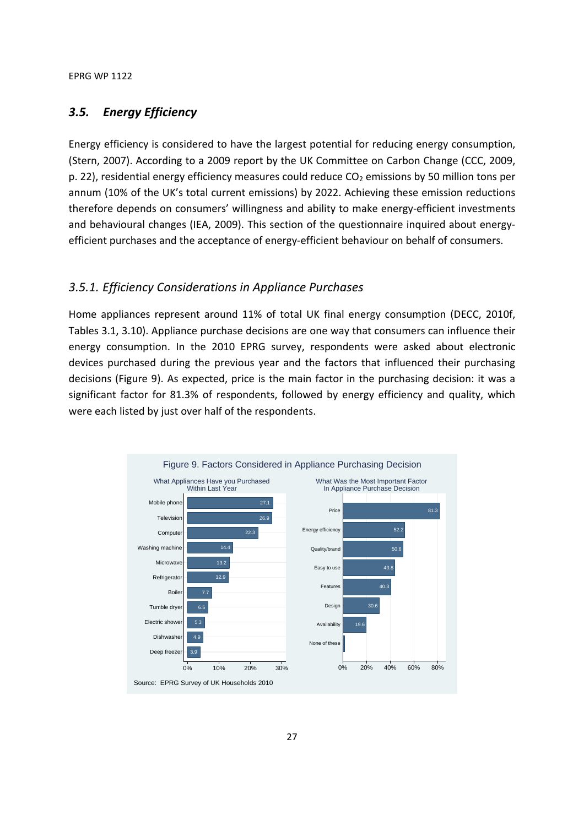## *3.5. Energy Efficiency*

Energy efficiency is considered to have the largest potential for reducing energy consumption, (Stern, 2007). According to a 2009 report by the UK Committee on Carbon Change (CCC, 2009, p. 22), residential energy efficiency measures could reduce  $CO<sub>2</sub>$  emissions by 50 million tons per annum (10% of the UK's total current emissions) by 2022. Achieving these emission reductions therefore depends on consumers' willingness and ability to make energy-efficient investments and behavioural changes (IEA, 2009). This section of the questionnaire inquired about energyefficient purchases and the acceptance of energy-efficient behaviour on behalf of consumers.

## *3.5.1. Efficiency Considerations in Appliance Purchases*

Home appliances represent around 11% of total UK final energy consumption (DECC, 2010f, Tables 3.1, 3.10). Appliance purchase decisions are one way that consumers can influence their energy consumption. In the 2010 EPRG survey, respondents were asked about electronic devices purchased during the previous year and the factors that influenced their purchasing decisions (Figure 9). As expected, price is the main factor in the purchasing decision: it was a significant factor for 81.3% of respondents, followed by energy efficiency and quality, which were each listed by just over half of the respondents.

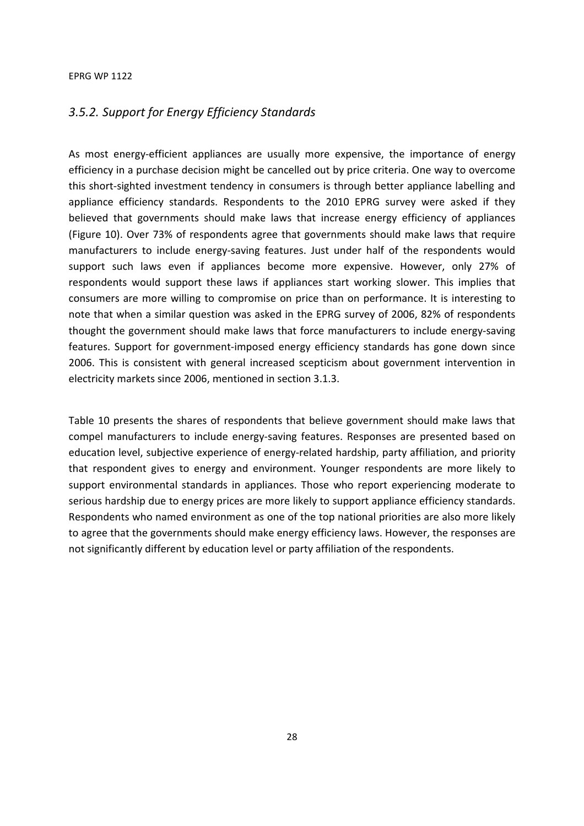## *3.5.2. Support for Energy Efficiency Standards*

As most energy-efficient appliances are usually more expensive, the importance of energy efficiency in a purchase decision might be cancelled out by price criteria. One way to overcome this short-sighted investment tendency in consumers is through better appliance labelling and appliance efficiency standards. Respondents to the 2010 EPRG survey were asked if they believed that governments should make laws that increase energy efficiency of appliances (Figure 10). Over 73% of respondents agree that governments should make laws that require manufacturers to include energy-saving features. Just under half of the respondents would support such laws even if appliances become more expensive. However, only 27% of respondents would support these laws if appliances start working slower. This implies that consumers are more willing to compromise on price than on performance. It is interesting to note that when a similar question was asked in the EPRG survey of 2006, 82% of respondents thought the government should make laws that force manufacturers to include energy-saving features. Support for government-imposed energy efficiency standards has gone down since 2006. This is consistent with general increased scepticism about government intervention in electricity markets since 2006, mentioned in section 3.1.3.

Table 10 presents the shares of respondents that believe government should make laws that compel manufacturers to include energy-saving features. Responses are presented based on education level, subjective experience of energy-related hardship, party affiliation, and priority that respondent gives to energy and environment. Younger respondents are more likely to support environmental standards in appliances. Those who report experiencing moderate to serious hardship due to energy prices are more likely to support appliance efficiency standards. Respondents who named environment as one of the top national priorities are also more likely to agree that the governments should make energy efficiency laws. However, the responses are not significantly different by education level or party affiliation of the respondents.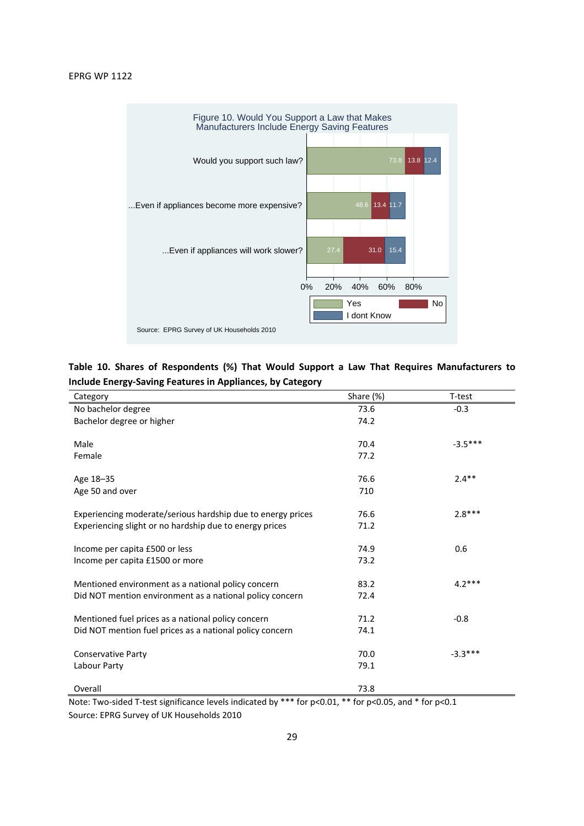

**Table 10. Shares of Respondents (%) That Would Support a Law That Requires Manufacturers to Include Energy-Saving Features in Appliances, by Category** 

| Category                                                    | Share (%) | T-test    |
|-------------------------------------------------------------|-----------|-----------|
| No bachelor degree                                          | 73.6      | $-0.3$    |
| Bachelor degree or higher                                   | 74.2      |           |
|                                                             |           |           |
| Male                                                        | 70.4      | $-3.5***$ |
| Female                                                      | 77.2      |           |
| Age 18-35                                                   | 76.6      | $2.4**$   |
| Age 50 and over                                             | 710       |           |
|                                                             |           |           |
| Experiencing moderate/serious hardship due to energy prices | 76.6      | $2.8***$  |
| Experiencing slight or no hardship due to energy prices     | 71.2      |           |
|                                                             |           |           |
| Income per capita £500 or less                              | 74.9      | 0.6       |
| Income per capita £1500 or more                             | 73.2      |           |
| Mentioned environment as a national policy concern          | 83.2      | $4.2***$  |
| Did NOT mention environment as a national policy concern    | 72.4      |           |
|                                                             |           |           |
| Mentioned fuel prices as a national policy concern          | 71.2      | $-0.8$    |
| Did NOT mention fuel prices as a national policy concern    | 74.1      |           |
|                                                             |           |           |
| <b>Conservative Party</b>                                   | 70.0      | $-3.3***$ |
| Labour Party                                                | 79.1      |           |
|                                                             |           |           |
| Overall                                                     | 73.8      |           |

Note: Two-sided T-test significance levels indicated by \*\*\* for p<0.01, \*\* for p<0.05, and \* for p<0.1 Source: EPRG Survey of UK Households 2010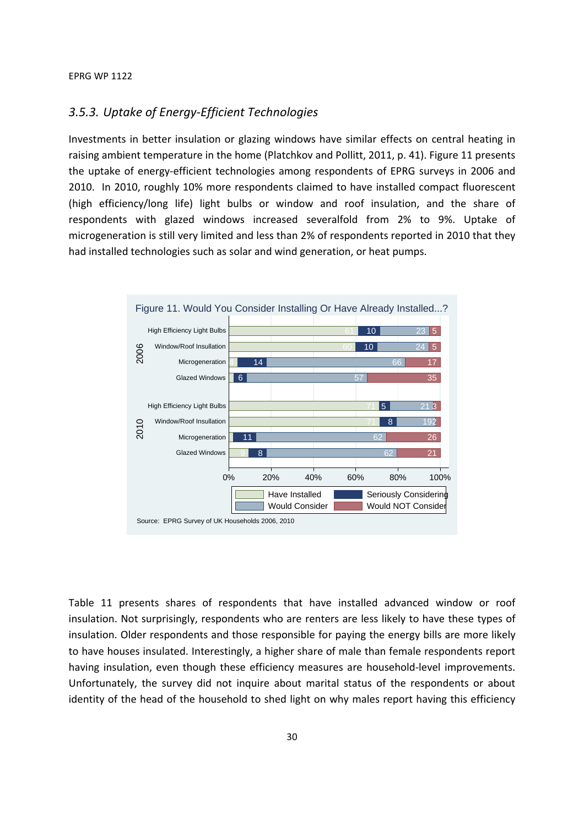## *3.5.3. Uptake of Energy-Efficient Technologies*

Investments in better insulation or glazing windows have similar effects on central heating in raising ambient temperature in the home (Platchkov and Pollitt, 2011, p. 41). Figure 11 presents the uptake of energy-efficient technologies among respondents of EPRG surveys in 2006 and 2010. In 2010, roughly 10% more respondents claimed to have installed compact fluorescent (high efficiency/long life) light bulbs or window and roof insulation, and the share of respondents with glazed windows increased severalfold from 2% to 9%. Uptake of microgeneration is still very limited and less than 2% of respondents reported in 2010 that they had installed technologies such as solar and wind generation, or heat pumps.



Table 11 presents shares of respondents that have installed advanced window or roof insulation. Not surprisingly, respondents who are renters are less likely to have these types of insulation. Older respondents and those responsible for paying the energy bills are more likely to have houses insulated. Interestingly, a higher share of male than female respondents report having insulation, even though these efficiency measures are household-level improvements. Unfortunately, the survey did not inquire about marital status of the respondents or about identity of the head of the household to shed light on why males report having this efficiency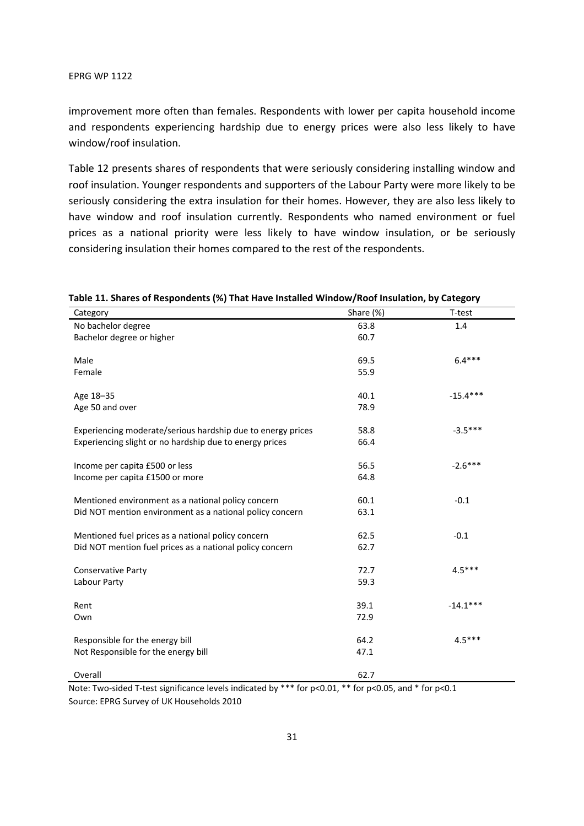improvement more often than females. Respondents with lower per capita household income and respondents experiencing hardship due to energy prices were also less likely to have window/roof insulation.

Table 12 presents shares of respondents that were seriously considering installing window and roof insulation. Younger respondents and supporters of the Labour Party were more likely to be seriously considering the extra insulation for their homes. However, they are also less likely to have window and roof insulation currently. Respondents who named environment or fuel prices as a national priority were less likely to have window insulation, or be seriously considering insulation their homes compared to the rest of the respondents.

| Category                                                                                                                 | Share (%) | T-test     |
|--------------------------------------------------------------------------------------------------------------------------|-----------|------------|
| No bachelor degree                                                                                                       | 63.8      | 1.4        |
| Bachelor degree or higher                                                                                                | 60.7      |            |
|                                                                                                                          |           |            |
| Male                                                                                                                     | 69.5      | $6.4***$   |
| Female                                                                                                                   | 55.9      |            |
| Age 18-35                                                                                                                | 40.1      | $-15.4***$ |
| Age 50 and over                                                                                                          | 78.9      |            |
|                                                                                                                          |           |            |
| Experiencing moderate/serious hardship due to energy prices                                                              | 58.8      | $-3.5***$  |
| Experiencing slight or no hardship due to energy prices                                                                  | 66.4      |            |
| Income per capita £500 or less                                                                                           | 56.5      | $-2.6***$  |
| Income per capita £1500 or more                                                                                          | 64.8      |            |
|                                                                                                                          |           |            |
| Mentioned environment as a national policy concern                                                                       | 60.1      | $-0.1$     |
| Did NOT mention environment as a national policy concern                                                                 | 63.1      |            |
| Mentioned fuel prices as a national policy concern                                                                       | 62.5      | $-0.1$     |
| Did NOT mention fuel prices as a national policy concern                                                                 | 62.7      |            |
|                                                                                                                          |           |            |
| <b>Conservative Party</b>                                                                                                | 72.7      | $4.5***$   |
| Labour Party                                                                                                             | 59.3      |            |
|                                                                                                                          | 39.1      | $-14.1***$ |
| Rent                                                                                                                     | 72.9      |            |
| Own                                                                                                                      |           |            |
| Responsible for the energy bill                                                                                          | 64.2      | $4.5***$   |
| Not Responsible for the energy bill                                                                                      | 47.1      |            |
|                                                                                                                          |           |            |
| Overall<br>Note: Two sided I test significance levels indicated by $***$ for $20.01$ $**$ for $20.05$ and $*$ for $20.1$ | 62.7      |            |

### **Table 11. Shares of Respondents (%) That Have Installed Window/Roof Insulation, by Category**

Note: Two-sided T-test significance levels indicated by \*\*\* for p<0.01, \*\* for p<0.05, and \* for p<0.1 Source: EPRG Survey of UK Households 2010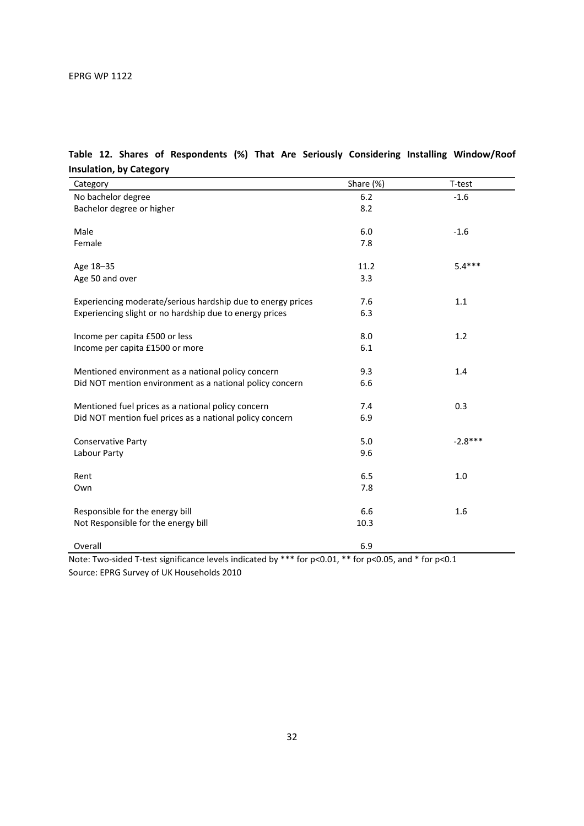| Category                                                    | Share (%) | T-test    |
|-------------------------------------------------------------|-----------|-----------|
| No bachelor degree                                          | 6.2       | $-1.6$    |
| Bachelor degree or higher                                   | 8.2       |           |
|                                                             |           |           |
| Male                                                        | 6.0       | $-1.6$    |
| Female                                                      | 7.8       |           |
| Age 18-35                                                   | 11.2      | $5.4***$  |
| Age 50 and over                                             | 3.3       |           |
|                                                             |           |           |
| Experiencing moderate/serious hardship due to energy prices | 7.6       | 1.1       |
| Experiencing slight or no hardship due to energy prices     | 6.3       |           |
|                                                             |           |           |
| Income per capita £500 or less                              | 8.0       | 1.2       |
| Income per capita £1500 or more                             | 6.1       |           |
|                                                             |           |           |
| Mentioned environment as a national policy concern          | 9.3       | 1.4       |
| Did NOT mention environment as a national policy concern    | 6.6       |           |
|                                                             |           |           |
| Mentioned fuel prices as a national policy concern          | 7.4       | 0.3       |
| Did NOT mention fuel prices as a national policy concern    | 6.9       |           |
| <b>Conservative Party</b>                                   | 5.0       | $-2.8***$ |
| Labour Party                                                | 9.6       |           |
|                                                             |           |           |
| Rent                                                        | 6.5       | $1.0\,$   |
| Own                                                         | 7.8       |           |
|                                                             |           |           |
| Responsible for the energy bill                             | 6.6       | 1.6       |
| Not Responsible for the energy bill                         | 10.3      |           |
|                                                             |           |           |
| Overall                                                     | 6.9       |           |

**Table 12. Shares of Respondents (%) That Are Seriously Considering Installing Window/Roof Insulation, by Category** 

Note: Two-sided T-test significance levels indicated by \*\*\* for  $p<0.01$ , \*\* for  $p<0.05$ , and \* for  $p<0.1$ Source: EPRG Survey of UK Households 2010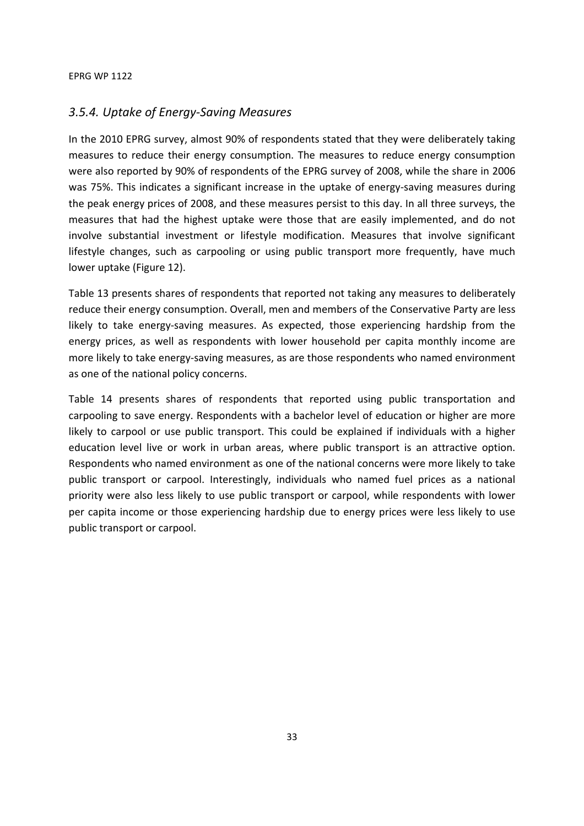## *3.5.4. Uptake of Energy-Saving Measures*

In the 2010 EPRG survey, almost 90% of respondents stated that they were deliberately taking measures to reduce their energy consumption. The measures to reduce energy consumption were also reported by 90% of respondents of the EPRG survey of 2008, while the share in 2006 was 75%. This indicates a significant increase in the uptake of energy-saving measures during the peak energy prices of 2008, and these measures persist to this day. In all three surveys, the measures that had the highest uptake were those that are easily implemented, and do not involve substantial investment or lifestyle modification. Measures that involve significant lifestyle changes, such as carpooling or using public transport more frequently, have much lower uptake (Figure 12).

Table 13 presents shares of respondents that reported not taking any measures to deliberately reduce their energy consumption. Overall, men and members of the Conservative Party are less likely to take energy-saving measures. As expected, those experiencing hardship from the energy prices, as well as respondents with lower household per capita monthly income are more likely to take energy-saving measures, as are those respondents who named environment as one of the national policy concerns.

Table 14 presents shares of respondents that reported using public transportation and carpooling to save energy. Respondents with a bachelor level of education or higher are more likely to carpool or use public transport. This could be explained if individuals with a higher education level live or work in urban areas, where public transport is an attractive option. Respondents who named environment as one of the national concerns were more likely to take public transport or carpool. Interestingly, individuals who named fuel prices as a national priority were also less likely to use public transport or carpool, while respondents with lower per capita income or those experiencing hardship due to energy prices were less likely to use public transport or carpool.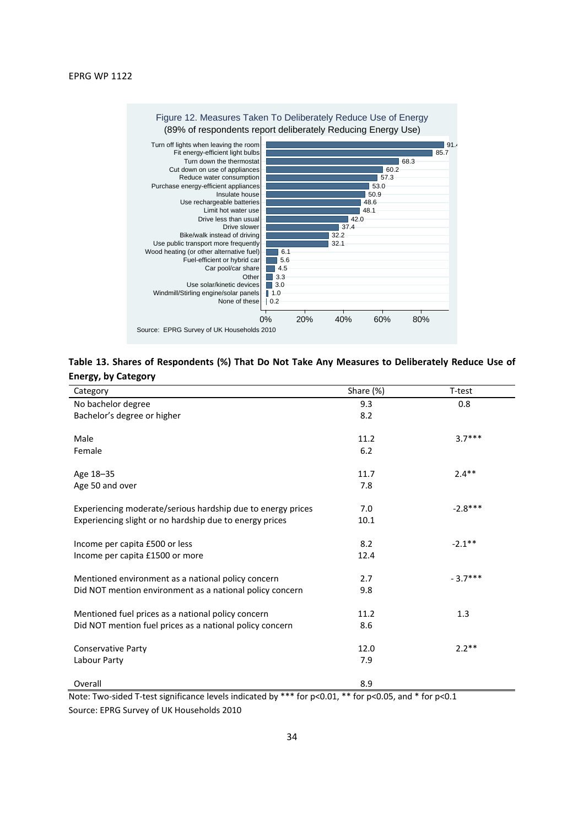

**Table 13. Shares of Respondents (%) That Do Not Take Any Measures to Deliberately Reduce Use of Energy, by Category** 

| Category                                                    | Share (%) | T-test    |
|-------------------------------------------------------------|-----------|-----------|
| No bachelor degree                                          | 9.3       | 0.8       |
| Bachelor's degree or higher                                 | 8.2       |           |
|                                                             |           |           |
| Male                                                        | 11.2      | $3.7***$  |
| Female                                                      | 6.2       |           |
| Age 18-35                                                   | 11.7      | $2.4**$   |
| Age 50 and over                                             | 7.8       |           |
|                                                             |           |           |
| Experiencing moderate/serious hardship due to energy prices | 7.0       | $-2.8***$ |
| Experiencing slight or no hardship due to energy prices     | 10.1      |           |
| Income per capita £500 or less                              | 8.2       | $-2.1**$  |
| Income per capita £1500 or more                             | 12.4      |           |
|                                                             |           |           |
| Mentioned environment as a national policy concern          | 2.7       | $-3.7***$ |
| Did NOT mention environment as a national policy concern    | 9.8       |           |
| Mentioned fuel prices as a national policy concern          | 11.2      | 1.3       |
| Did NOT mention fuel prices as a national policy concern    | 8.6       |           |
|                                                             |           |           |
| <b>Conservative Party</b>                                   | 12.0      | $2.2**$   |
| Labour Party                                                | 7.9       |           |
| Overall                                                     | 8.9       |           |
|                                                             |           |           |

Note: Two-sided T-test significance levels indicated by \*\*\* for p<0.01, \*\* for p<0.05, and \* for p<0.1 Source: EPRG Survey of UK Households 2010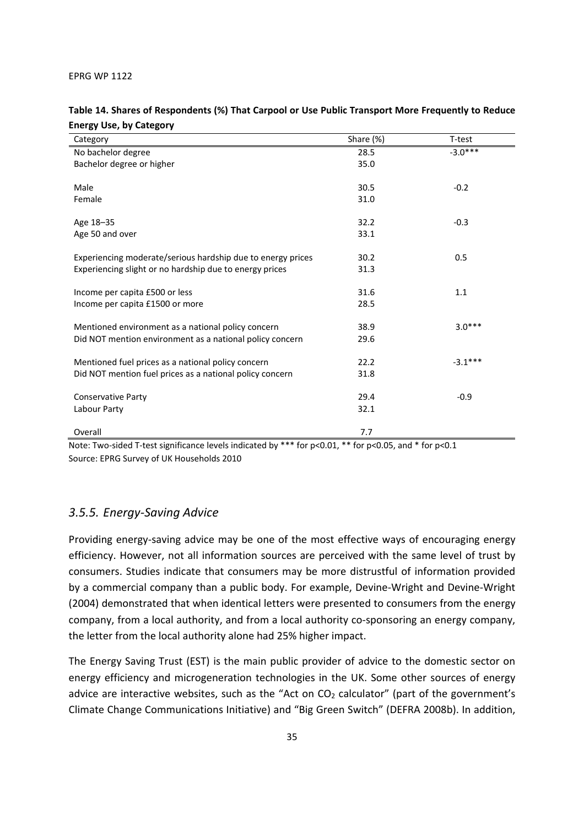| Category                                                    | Share (%) | T-test    |
|-------------------------------------------------------------|-----------|-----------|
| No bachelor degree                                          | 28.5      | $-3.0***$ |
| Bachelor degree or higher                                   | 35.0      |           |
|                                                             |           |           |
| Male                                                        | 30.5      | $-0.2$    |
| Female                                                      | 31.0      |           |
| Age 18-35                                                   | 32.2      | $-0.3$    |
| Age 50 and over                                             | 33.1      |           |
|                                                             |           |           |
| Experiencing moderate/serious hardship due to energy prices | 30.2      | 0.5       |
| Experiencing slight or no hardship due to energy prices     | 31.3      |           |
|                                                             |           |           |
| Income per capita £500 or less                              | 31.6      | 1.1       |
| Income per capita £1500 or more                             | 28.5      |           |
| Mentioned environment as a national policy concern          | 38.9      | $3.0***$  |
|                                                             | 29.6      |           |
| Did NOT mention environment as a national policy concern    |           |           |
| Mentioned fuel prices as a national policy concern          | 22.2      | $-3.1***$ |
| Did NOT mention fuel prices as a national policy concern    | 31.8      |           |
|                                                             |           |           |
| <b>Conservative Party</b>                                   | 29.4      | $-0.9$    |
| Labour Party                                                | 32.1      |           |
|                                                             |           |           |
| Overall                                                     | 7.7       |           |

## **Table 14. Shares of Respondents (%) That Carpool or Use Public Transport More Frequently to Reduce Energy Use, by Category**

Note: Two-sided T-test significance levels indicated by \*\*\* for p<0.01, \*\* for p<0.05, and \* for p<0.1 Source: EPRG Survey of UK Households 2010

## *3.5.5. Energy-Saving Advice*

Providing energy-saving advice may be one of the most effective ways of encouraging energy efficiency. However, not all information sources are perceived with the same level of trust by consumers. Studies indicate that consumers may be more distrustful of information provided by a commercial company than a public body. For example, Devine-Wright and Devine-Wright (2004) demonstrated that when identical letters were presented to consumers from the energy company, from a local authority, and from a local authority co-sponsoring an energy company, the letter from the local authority alone had 25% higher impact.

The Energy Saving Trust (EST) is the main public provider of advice to the domestic sector on energy efficiency and microgeneration technologies in the UK. Some other sources of energy advice are interactive websites, such as the "Act on  $CO<sub>2</sub>$  calculator" (part of the government's Climate Change Communications Initiative) and "Big Green Switch" (DEFRA 2008b). In addition,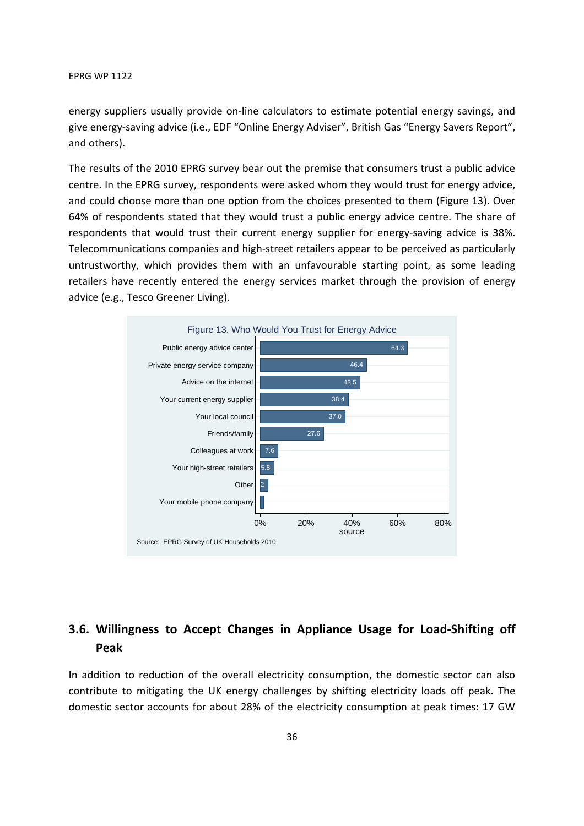energy suppliers usually provide on-line calculators to estimate potential energy savings, and give energy-saving advice (i.e., EDF "Online Energy Adviser", British Gas "Energy Savers Report", and others).

The results of the 2010 EPRG survey bear out the premise that consumers trust a public advice centre. In the EPRG survey, respondents were asked whom they would trust for energy advice, and could choose more than one option from the choices presented to them (Figure 13). Over 64% of respondents stated that they would trust a public energy advice centre. The share of respondents that would trust their current energy supplier for energy-saving advice is 38%. Telecommunications companies and high-street retailers appear to be perceived as particularly untrustworthy, which provides them with an unfavourable starting point, as some leading retailers have recently entered the energy services market through the provision of energy advice (e.g., Tesco Greener Living).



## **3.6. Willingness to Accept Changes in Appliance Usage for Load-Shifting off Peak**

In addition to reduction of the overall electricity consumption, the domestic sector can also contribute to mitigating the UK energy challenges by shifting electricity loads off peak. The domestic sector accounts for about 28% of the electricity consumption at peak times: 17 GW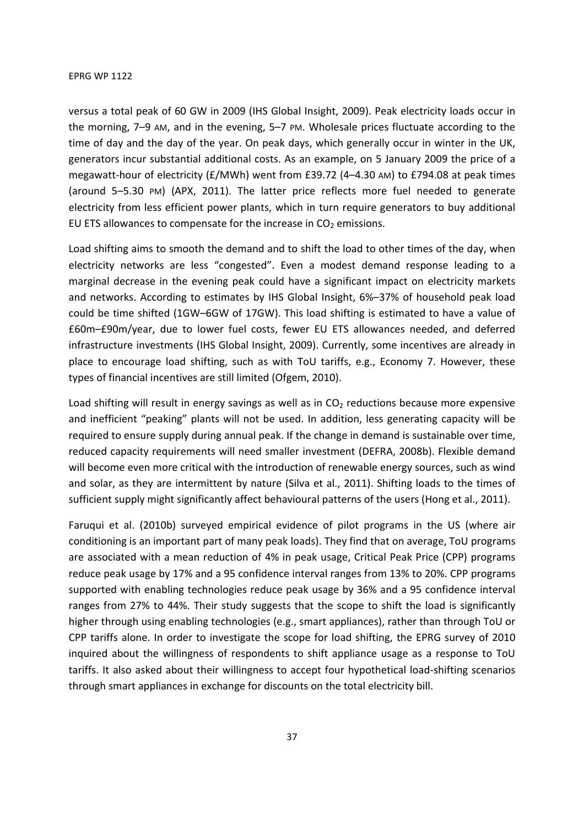versus a total peak of 60 GW in 2009 (IHS Global Insight, 2009). Peak electricity loads occur in the morning, 7–9 AM, and in the evening, 5–7 PM. Wholesale prices fluctuate according to the time of day and the day of the year. On peak days, which generally occur in winter in the UK, generators incur substantial additional costs. As an example, on 5 January 2009 the price of a megawatt-hour of electricity (£/MWh) went from £39.72 (4–4.30 AM) to £794.08 at peak times (around 5–5.30 PM) (APX, 2011). The latter price reflects more fuel needed to generate electricity from less efficient power plants, which in turn require generators to buy additional EU ETS allowances to compensate for the increase in  $CO<sub>2</sub>$  emissions.

Load shifting aims to smooth the demand and to shift the load to other times of the day, when electricity networks are less "congested". Even a modest demand response leading to a marginal decrease in the evening peak could have a significant impact on electricity markets and networks. According to estimates by IHS Global Insight, 6%–37% of household peak load could be time shifted (1GW–6GW of 17GW). This load shifting is estimated to have a value of £60m–£90m/year, due to lower fuel costs, fewer EU ETS allowances needed, and deferred infrastructure investments (IHS Global Insight, 2009). Currently, some incentives are already in place to encourage load shifting, such as with ToU tariffs, e.g., Economy 7. However, these types of financial incentives are still limited (Ofgem, 2010).

Load shifting will result in energy savings as well as in  $CO<sub>2</sub>$  reductions because more expensive and inefficient "peaking" plants will not be used. In addition, less generating capacity will be required to ensure supply during annual peak. If the change in demand is sustainable over time, reduced capacity requirements will need smaller investment (DEFRA, 2008b). Flexible demand will become even more critical with the introduction of renewable energy sources, such as wind and solar, as they are intermittent by nature (Silva et al., 2011). Shifting loads to the times of sufficient supply might significantly affect behavioural patterns of the users (Hong et al., 2011).

Faruqui et al. (2010b) surveyed empirical evidence of pilot programs in the US (where air conditioning is an important part of many peak loads). They find that on average, ToU programs are associated with a mean reduction of 4% in peak usage, Critical Peak Price (CPP) programs reduce peak usage by 17% and a 95 confidence interval ranges from 13% to 20%. CPP programs supported with enabling technologies reduce peak usage by 36% and a 95 confidence interval ranges from 27% to 44%. Their study suggests that the scope to shift the load is significantly higher through using enabling technologies (e.g., smart appliances), rather than through ToU or CPP tariffs alone. In order to investigate the scope for load shifting, the EPRG survey of 2010 inquired about the willingness of respondents to shift appliance usage as a response to ToU tariffs. It also asked about their willingness to accept four hypothetical load-shifting scenarios through smart appliances in exchange for discounts on the total electricity bill.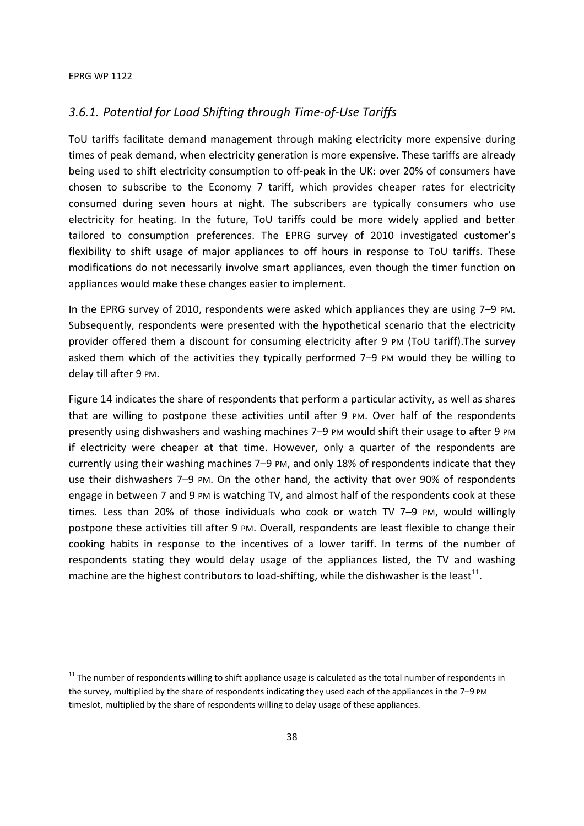**.** 

## *3.6.1. Potential for Load Shifting through Time-of-Use Tariffs*

ToU tariffs facilitate demand management through making electricity more expensive during times of peak demand, when electricity generation is more expensive. These tariffs are already being used to shift electricity consumption to off-peak in the UK: over 20% of consumers have chosen to subscribe to the Economy 7 tariff, which provides cheaper rates for electricity consumed during seven hours at night. The subscribers are typically consumers who use electricity for heating. In the future, ToU tariffs could be more widely applied and better tailored to consumption preferences. The EPRG survey of 2010 investigated customer's flexibility to shift usage of major appliances to off hours in response to ToU tariffs. These modifications do not necessarily involve smart appliances, even though the timer function on appliances would make these changes easier to implement.

In the EPRG survey of 2010, respondents were asked which appliances they are using 7–9 PM. Subsequently, respondents were presented with the hypothetical scenario that the electricity provider offered them a discount for consuming electricity after 9 PM (ToU tariff).The survey asked them which of the activities they typically performed 7–9 PM would they be willing to delay till after 9 PM.

Figure 14 indicates the share of respondents that perform a particular activity, as well as shares that are willing to postpone these activities until after 9 PM. Over half of the respondents presently using dishwashers and washing machines 7–9 PM would shift their usage to after 9 PM if electricity were cheaper at that time. However, only a quarter of the respondents are currently using their washing machines 7–9 PM, and only 18% of respondents indicate that they use their dishwashers 7–9 PM. On the other hand, the activity that over 90% of respondents engage in between 7 and 9 PM is watching TV, and almost half of the respondents cook at these times. Less than 20% of those individuals who cook or watch TV 7–9 PM, would willingly postpone these activities till after 9 PM. Overall, respondents are least flexible to change their cooking habits in response to the incentives of a lower tariff. In terms of the number of respondents stating they would delay usage of the appliances listed, the TV and washing machine are the highest contributors to load-shifting, while the dishwasher is the least<sup>11</sup>.

<sup>&</sup>lt;sup>11</sup> The number of respondents willing to shift appliance usage is calculated as the total number of respondents in the survey, multiplied by the share of respondents indicating they used each of the appliances in the 7-9 PM timeslot, multiplied by the share of respondents willing to delay usage of these appliances.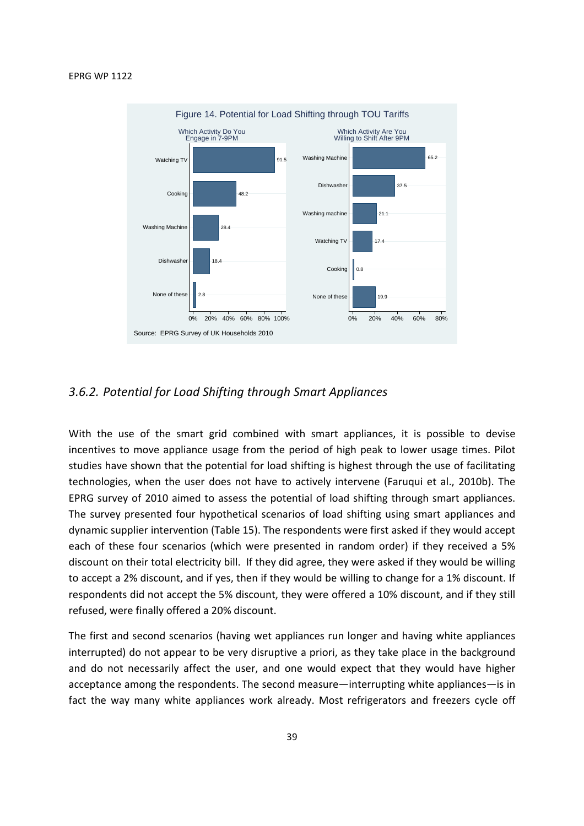

## *3.6.2. Potential for Load Shifting through Smart Appliances*

With the use of the smart grid combined with smart appliances, it is possible to devise incentives to move appliance usage from the period of high peak to lower usage times. Pilot studies have shown that the potential for load shifting is highest through the use of facilitating technologies, when the user does not have to actively intervene (Faruqui et al., 2010b). The EPRG survey of 2010 aimed to assess the potential of load shifting through smart appliances. The survey presented four hypothetical scenarios of load shifting using smart appliances and dynamic supplier intervention (Table 15). The respondents were first asked if they would accept each of these four scenarios (which were presented in random order) if they received a 5% discount on their total electricity bill. If they did agree, they were asked if they would be willing to accept a 2% discount, and if yes, then if they would be willing to change for a 1% discount. If respondents did not accept the 5% discount, they were offered a 10% discount, and if they still refused, were finally offered a 20% discount.

The first and second scenarios (having wet appliances run longer and having white appliances interrupted) do not appear to be very disruptive a priori, as they take place in the background and do not necessarily affect the user, and one would expect that they would have higher acceptance among the respondents. The second measure—interrupting white appliances—is in fact the way many white appliances work already. Most refrigerators and freezers cycle off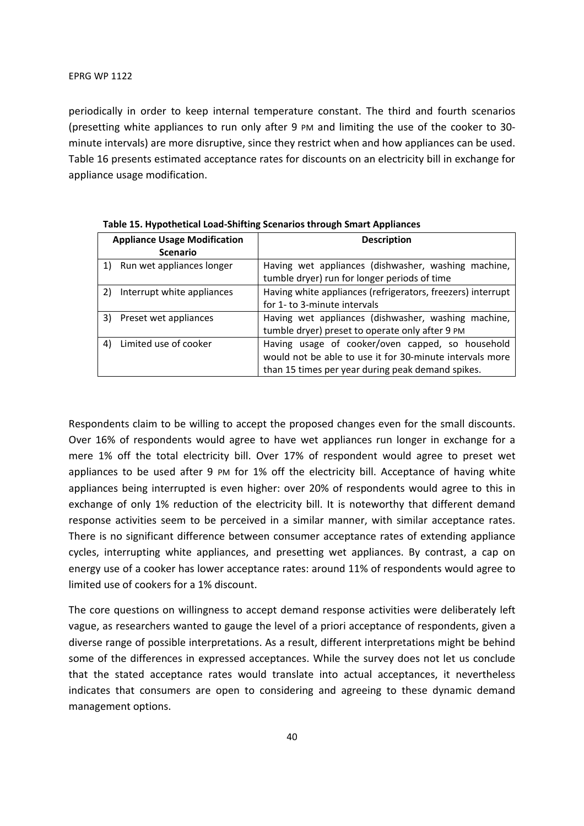periodically in order to keep internal temperature constant. The third and fourth scenarios (presetting white appliances to run only after 9 PM and limiting the use of the cooker to 30 minute intervals) are more disruptive, since they restrict when and how appliances can be used. Table 16 presents estimated acceptance rates for discounts on an electricity bill in exchange for appliance usage modification.

| <b>Appliance Usage Modification</b> |                            | <b>Description</b>                                          |  |  |
|-------------------------------------|----------------------------|-------------------------------------------------------------|--|--|
|                                     | <b>Scenario</b>            |                                                             |  |  |
|                                     | Run wet appliances longer  | Having wet appliances (dishwasher, washing machine,         |  |  |
|                                     |                            | tumble dryer) run for longer periods of time                |  |  |
| 2)                                  | Interrupt white appliances | Having white appliances (refrigerators, freezers) interrupt |  |  |
|                                     |                            | for 1- to 3-minute intervals                                |  |  |
| 3)                                  | Preset wet appliances      | Having wet appliances (dishwasher, washing machine,         |  |  |
|                                     |                            | tumble dryer) preset to operate only after 9 PM             |  |  |
| 4)                                  | Limited use of cooker      | Having usage of cooker/oven capped, so household            |  |  |
|                                     |                            | would not be able to use it for 30-minute intervals more    |  |  |
|                                     |                            | than 15 times per year during peak demand spikes.           |  |  |

**Table 15. Hypothetical Load-Shifting Scenarios through Smart Appliances** 

Respondents claim to be willing to accept the proposed changes even for the small discounts. Over 16% of respondents would agree to have wet appliances run longer in exchange for a mere 1% off the total electricity bill. Over 17% of respondent would agree to preset wet appliances to be used after 9 PM for 1% off the electricity bill. Acceptance of having white appliances being interrupted is even higher: over 20% of respondents would agree to this in exchange of only 1% reduction of the electricity bill. It is noteworthy that different demand response activities seem to be perceived in a similar manner, with similar acceptance rates. There is no significant difference between consumer acceptance rates of extending appliance cycles, interrupting white appliances, and presetting wet appliances. By contrast, a cap on energy use of a cooker has lower acceptance rates: around 11% of respondents would agree to limited use of cookers for a 1% discount.

The core questions on willingness to accept demand response activities were deliberately left vague, as researchers wanted to gauge the level of a priori acceptance of respondents, given a diverse range of possible interpretations. As a result, different interpretations might be behind some of the differences in expressed acceptances. While the survey does not let us conclude that the stated acceptance rates would translate into actual acceptances, it nevertheless indicates that consumers are open to considering and agreeing to these dynamic demand management options.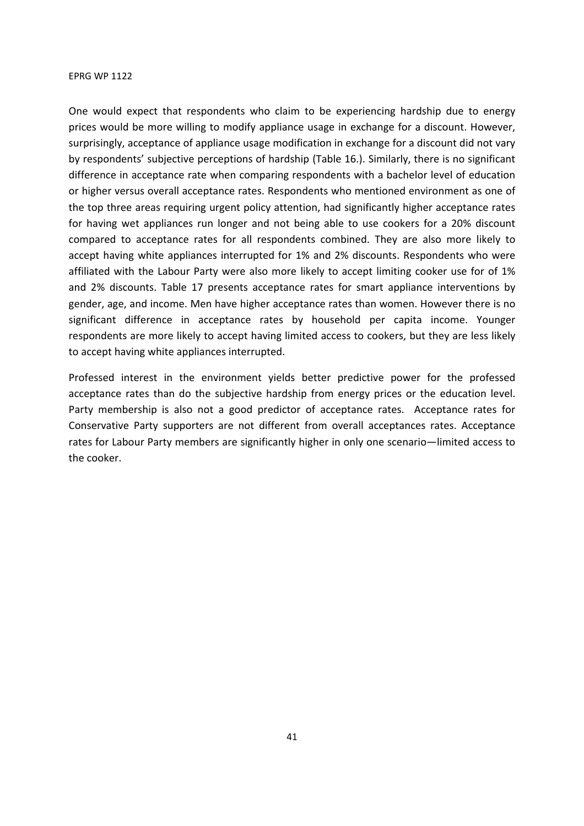One would expect that respondents who claim to be experiencing hardship due to energy prices would be more willing to modify appliance usage in exchange for a discount. However, surprisingly, acceptance of appliance usage modification in exchange for a discount did not vary by respondents' subjective perceptions of hardship (Table 16.). Similarly, there is no significant difference in acceptance rate when comparing respondents with a bachelor level of education or higher versus overall acceptance rates. Respondents who mentioned environment as one of the top three areas requiring urgent policy attention, had significantly higher acceptance rates for having wet appliances run longer and not being able to use cookers for a 20% discount compared to acceptance rates for all respondents combined. They are also more likely to accept having white appliances interrupted for 1% and 2% discounts. Respondents who were affiliated with the Labour Party were also more likely to accept limiting cooker use for of 1% and 2% discounts. Table 17 presents acceptance rates for smart appliance interventions by gender, age, and income. Men have higher acceptance rates than women. However there is no significant difference in acceptance rates by household per capita income. Younger respondents are more likely to accept having limited access to cookers, but they are less likely to accept having white appliances interrupted.

Professed interest in the environment yields better predictive power for the professed acceptance rates than do the subjective hardship from energy prices or the education level. Party membership is also not a good predictor of acceptance rates. Acceptance rates for Conservative Party supporters are not different from overall acceptances rates. Acceptance rates for Labour Party members are significantly higher in only one scenario—limited access to the cooker.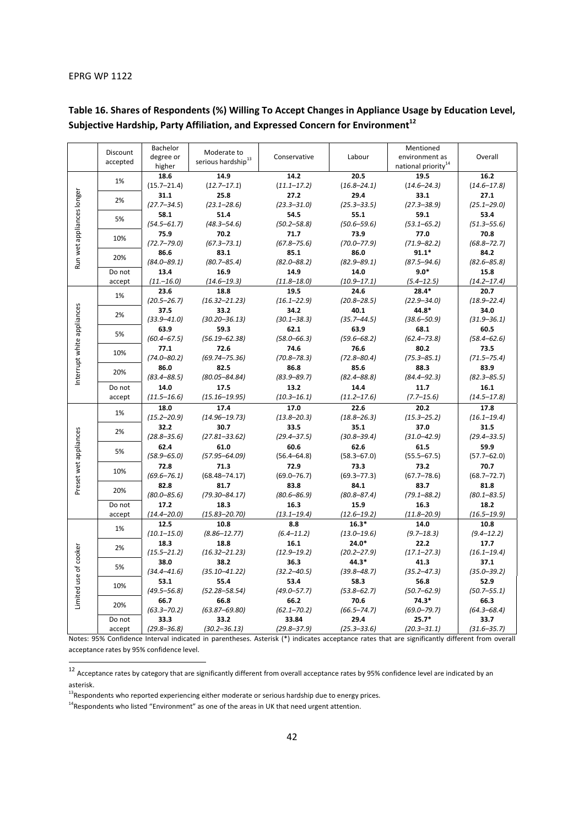-

|                            | Discount         | Bachelor                | Moderate to                    |                 |                         | Mentioned                       |                 |
|----------------------------|------------------|-------------------------|--------------------------------|-----------------|-------------------------|---------------------------------|-----------------|
|                            | accepted         | degree or               | serious hardship <sup>13</sup> | Conservative    | Labour                  | environment as                  | Overall         |
|                            |                  | higher                  |                                |                 |                         | national priority <sup>14</sup> |                 |
| Run wet appliances longer  | 1%               | 18.6                    | 14.9                           | 14.2            | 20.5                    | 19.5                            | 16.2            |
|                            |                  | $(15.7 - 21.4)$         | $(12.7 - 17.1)$                | $(11.1 - 17.2)$ | $(16.8 - 24.1)$         | $(14.6 - 24.3)$                 | $(14.6 - 17.8)$ |
|                            | 2%               | 31.1                    | 25.8                           | 27.2            | 29.4                    | 33.1                            | 27.1            |
|                            |                  | $(27.7 - 34.5)$         | $(23.1 - 28.6)$                | $(23.3 - 31.0)$ | $(25.3 - 33.5)$         | $(27.3 - 38.9)$                 | $(25.1 - 29.0)$ |
|                            | 5%               | 58.1                    | 51.4                           | 54.5            | 55.1                    | 59.1                            | 53.4            |
|                            |                  | $(54.5 - 61.7)$         | $(48.3 - 54.6)$                | $(50.2 - 58.8)$ | $(50.6 - 59.6)$         | $(53.1 - 65.2)$                 | $(51.3 - 55.6)$ |
|                            | 10%              | 75.9                    | 70.2                           | 71.7            | 73.9                    | 77.0                            | 70.8            |
|                            |                  | $(72.7 - 79.0)$         | $(67.3 - 73.1)$                | $(67.8 - 75.6)$ | $(70.0 - 77.9)$         | $(71.9 - 82.2)$                 | $(68.8 - 72.7)$ |
|                            | 20%              | 86.6                    | 83.1                           | 85.1            | 86.0                    | $91.1*$                         | 84.2            |
|                            |                  | $(84.0 - 89.1)$         | $(80.7 - 85.4)$                | $(82.0 - 88.2)$ | $(82.9 - 89.1)$         | $(87.5 - 94.6)$                 | $(82.6 - 85.8)$ |
|                            | Do not           | 13.4                    | 16.9                           | 14.9            | 14.0                    | $9.0*$                          | 15.8            |
|                            | accept           | $(11,-16.0)$            | $(14.6 - 19.3)$                | $(11.8 - 18.0)$ | $(10.9 - 17.1)$         | $(5.4 - 12.5)$                  | $(14.2 - 17.4)$ |
|                            | 1%               | 23.6                    | 18.8                           | 19.5            | 24.6                    | $28.4*$                         | 20.7            |
|                            |                  | $(20.5 - 26.7)$         | $(16.32 - 21.23)$              | $(16.1 - 22.9)$ | $(20.8 - 28.5)$         | $(22.9 - 34.0)$                 | $(18.9 - 22.4)$ |
|                            | 2%               | 37.5                    | 33.2                           | 34.2            | 40.1                    | 44.8*                           | 34.0            |
|                            |                  | $(33.9 - 41.0)$         | $(30.20 - 36.13)$              | $(30.1 - 38.3)$ | $(35.7 - 44.5)$         | $(38.6 - 50.9)$                 | $(31.9 - 36.1)$ |
| Interrupt white appliances | 5%               | 63.9                    | 59.3                           | 62.1            | 63.9                    | 68.1                            | 60.5            |
|                            |                  | $(60.4 - 67.5)$         | $(56.19 - 62.38)$              | $(58.0 - 66.3)$ | $(59.6 - 68.2)$         | $(62.4 - 73.8)$                 | $(58.4 - 62.6)$ |
|                            | 10%              | 77.1                    | 72.6                           | 74.6            | 76.6                    | 80.2                            | 73.5            |
|                            |                  | $(74.0 - 80.2)$         | $(69.74 - 75.36)$              | $(70.8 - 78.3)$ | $(72.8 - 80.4)$         | $(75.3 - 85.1)$                 | $(71.5 - 75.4)$ |
|                            |                  | 86.0                    | 82.5                           | 86.8            | 85.6                    | 88.3                            | 83.9            |
|                            | 20%              | $(83.4 - 88.5)$         | $(80.05 - 84.84)$              | $(83.9 - 89.7)$ | $(82.4 - 88.8)$         | $(84.4 - 92.3)$                 | $(82.3 - 85.5)$ |
|                            | Do not<br>accept | 14.0                    | 17.5                           | 13.2            | 14.4                    | 11.7                            | 16.1            |
|                            |                  | $(11.5 - 16.6)$         | $(15.16 - 19.95)$              | $(10.3 - 16.1)$ | $(11.2 - 17.6)$         | $(7.7 - 15.6)$                  | $(14.5 - 17.8)$ |
|                            | 1%               | 18.0                    | 17.4                           | 17.0            | 22.6                    | 20.2                            | 17.8            |
|                            |                  | $(15.2 - 20.9)$         | $(14.96 - 19.73)$              | $(13.8 - 20.3)$ | $(18.8 - 26.3)$         | $(15.3 - 25.2)$                 | $(16.1 - 19.4)$ |
|                            | 2%               | 32.2                    | 30.7                           | 33.5            | 35.1                    | 37.0                            | 31.5            |
|                            |                  | $(28.8 - 35.6)$         | $(27.81 - 33.62)$              | $(29.4 - 37.5)$ | $(30.8 - 39.4)$         | $(31.0 - 42.9)$                 | $(29.4 - 33.5)$ |
|                            |                  | 62.4                    | 61.0                           | 60.6            | 62.6                    | 61.5                            | 59.9            |
| Preset wet appliances      | 5%               | $(58.9 - 65.0)$         | $(57.95 - 64.09)$              | $(56.4 - 64.8)$ | $(58.3 - 67.0)$         | $(55.5 - 67.5)$                 | $(57.7 - 62.0)$ |
|                            |                  | 72.8                    | 71.3                           | 72.9            | 73.3                    | 73.2                            | 70.7            |
|                            | 10%              | $(69.6 - 76.1)$         | $(68.48 - 74.17)$              | $(69.0 - 76.7)$ | $(69.3 - 77.3)$         | $(67.7 - 78.6)$                 | $(68.7 - 72.7)$ |
|                            |                  | 82.8                    | 81.7                           | 83.8            | 84.1                    | 83.7                            | 81.8            |
|                            | 20%<br>Do not    | $(80.0 - 85.6)$         | $(79.30 - 84.17)$              | $(80.6 - 86.9)$ | $(80.8 - 87.4)$         | $(79.1 - 88.2)$                 | $(80.1 - 83.5)$ |
|                            |                  | 17.2                    | 18.3                           | 16.3            | 15.9                    | 16.3                            | 18.2            |
|                            | accept           | $(14.4 - 20.0)$         | $(15.83 - 20.70)$              | $(13.1 - 19.4)$ | $(12.6 - 19.2)$         | $(11.8 - 20.9)$                 | $(16.5 - 19.9)$ |
|                            |                  | 12.5                    | 10.8                           | 8.8             | $16.3*$                 | 14.0                            | 10.8            |
|                            | 1%               | $(10.1 - 15.0)$         | $(8.86 - 12.77)$               | $(6.4 - 11.2)$  | $(13.0 - 19.6)$         | $(9.7 - 18.3)$                  | $(9.4 - 12.2)$  |
|                            | 2%               | 18.3                    | 18.8                           | 16.1            | $24.0*$                 | 22.2                            | 17.7            |
|                            |                  | $(15.5 - 21.2)$         | $(16.32 - 21.23)$              | $(12.9 - 19.2)$ | $(20.2 - 27.9)$         | $(17.1 - 27.3)$                 | $(16.1 - 19.4)$ |
|                            |                  | 38.0                    | 38.2                           | 36.3            | 44.3*                   | 41.3                            | 37.1            |
|                            | 5%               | $(34.4 - 41.6)$         | $(35.10 - 41.22)$              | $(32.2 - 40.5)$ | $(39.8 - 48.7)$         | $(35.2 - 47.3)$                 | $(35.0 - 39.2)$ |
|                            | 10%              | 53.1                    | 55.4                           | 53.4            | 58.3                    | 56.8                            | 52.9            |
|                            |                  | $(49.5 - 56.8)$         | $(52.28 - 58.54)$              | $(49.0 - 57.7)$ | $(53.8 - 62.7)$         | $(50.7 - 62.9)$                 | $(50.7 - 55.1)$ |
| Limited use of cooker      |                  |                         |                                | 66.2            |                         | $74.3*$                         | 66.3            |
|                            | 20%              | 66.7<br>$(63.3 - 70.2)$ | 66.8<br>$(63.87 - 69.80)$      |                 | 70.6<br>$(66.5 - 74.7)$ | $(69.0 - 79.7)$                 | $(64.3 - 68.4)$ |
|                            |                  |                         |                                | $(62.1 - 70.2)$ |                         |                                 |                 |
|                            | Do not           | 33.3                    | 33.2                           | 33.84           | 29.4                    | $25.7*$                         | 33.7            |
|                            | accept           | $(29.8 - 36.8)$         | $(30.2 - 36.13)$               | $(29.8 - 37.9)$ | $(25.3 - 33.6)$         | (20.3–31.1)                     | $(31.6 - 35.7)$ |

## **Table 16. Shares of Respondents (%) Willing To Accept Changes in Appliance Usage by Education Level,**  Subjective Hardship, Party Affiliation, and Expressed Concern for Environment<sup>12</sup>

Notes: 95% Confidence Interval indicated in parentheses. Asterisk (\*) indicates acceptance rates that are significantly different from overall acceptance rates by 95% confidence level.

<sup>12</sup> Acceptance rates by category that are significantly different from overall acceptance rates by 95% confidence level are indicated by an asterisk.<br><sup>13</sup>Respondents who reported experiencing either moderate or serious hardship due to energy prices.

 $14$ Respondents who listed "Environment" as one of the areas in UK that need urgent attention.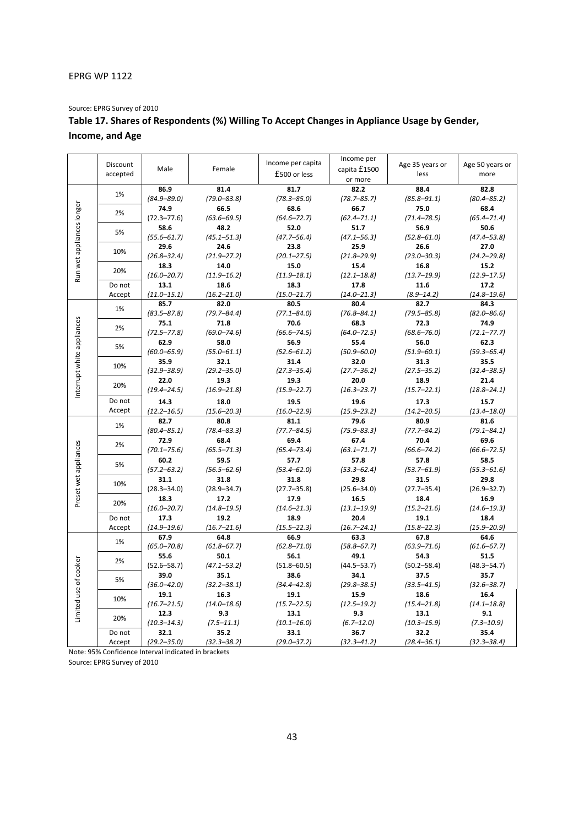Source: EPRG Survey of 2010

## **Table 17. Shares of Respondents (%) Willing To Accept Changes in Appliance Usage by Gender, Income, and Age**

|                            | Discount<br>accepted | Male            | Female          | Income per capita<br>£500 or less | Income per<br>capita £1500<br>or more | Age 35 years or<br>less | Age 50 years or<br>more |
|----------------------------|----------------------|-----------------|-----------------|-----------------------------------|---------------------------------------|-------------------------|-------------------------|
|                            |                      | 86.9            | 81.4            | 81.7                              | 82.2                                  | 88.4                    | 82.8                    |
| Run wet appliances longer  | 1%                   | $(84.9 - 89.0)$ | $(79.0 - 83.8)$ | $(78.3 - 85.0)$                   | $(78.7 - 85.7)$                       | $(85.8 - 91.1)$         | $(80.4 - 85.2)$         |
|                            |                      | 74.9            | 66.5            | 68.6                              | 66.7                                  | 75.0                    | 68.4                    |
|                            | 2%                   | $(72.3 - 77.6)$ | $(63.6 - 69.5)$ | $(64.6 - 72.7)$                   | $(62.4 - 71.1)$                       | $(71.4 - 78.5)$         | $(65.4 - 71.4)$         |
|                            |                      | 58.6            | 48.2            | 52.0                              | 51.7                                  | 56.9                    | 50.6                    |
|                            | 5%                   | $(55.6 - 61.7)$ | $(45.1 - 51.3)$ | $(47.7 - 56.4)$                   | $(47.1 - 56.3)$                       | $(52.8 - 61.0)$         | $(47.4 - 53.8)$         |
|                            |                      | 29.6            | 24.6            | 23.8                              | 25.9                                  | 26.6                    | 27.0                    |
|                            | 10%                  | $(26.8 - 32.4)$ | $(21.9 - 27.2)$ | $(20.1 - 27.5)$                   | $(21.8 - 29.9)$                       | $(23.0 - 30.3)$         | $(24.2 - 29.8)$         |
|                            |                      | 18.3            | 14.0            | 15.0                              | 15.4                                  | 16.8                    | 15.2                    |
|                            | 20%                  | $(16.0 - 20.7)$ | $(11.9 - 16.2)$ | $(11.9 - 18.1)$                   | $(12.1 - 18.8)$                       | $(13.7 - 19.9)$         | $(12.9 - 17.5)$         |
|                            | Do not               | 13.1            | 18.6            | 18.3                              | 17.8                                  | 11.6                    | 17.2                    |
|                            | Accept               | $(11.0 - 15.1)$ | $(16.2 - 21.0)$ | $(15.0 - 21.7)$                   | $(14.0 - 21.3)$                       | $(8.9 - 14.2)$          | $(14.8 - 19.6)$         |
|                            |                      | 85.7            | 82.0            | 80.5                              | 80.4                                  | 82.7                    | 84.3                    |
|                            | 1%                   | $(83.5 - 87.8)$ | $(79.7 - 84.4)$ | $(77.1 - 84.0)$                   | $(76.8 - 84.1)$                       | $(79.5 - 85.8)$         | $(82.0 - 86.6)$         |
|                            |                      | 75.1            | 71.8            | 70.6                              | 68.3                                  | 72.3                    | 74.9                    |
|                            | 2%                   | $(72.5 - 77.8)$ | $(69.0 - 74.6)$ | $(66.6 - 74.5)$                   | $(64.0 - 72.5)$                       | $(68.6 - 76.0)$         | $(72.1 - 77.7)$         |
|                            |                      | 62.9            | 58.0            | 56.9                              | 55.4                                  | 56.0                    | 62.3                    |
|                            | 5%                   | $(60.0 - 65.9)$ | $(55.0 - 61.1)$ | $(52.6 - 61.2)$                   | $(50.9 - 60.0)$                       | $(51.9 - 60.1)$         | $(59.3 - 65.4)$         |
| Interrupt white appliances |                      | 35.9            | 32.1            | 31.4                              | 32.0                                  | 31.3                    | 35.5                    |
|                            | 10%                  | $(32.9 - 38.9)$ | $(29.2 - 35.0)$ | $(27.3 - 35.4)$                   | $(27.7 - 36.2)$                       | $(27.5 - 35.2)$         | $(32.4 - 38.5)$         |
|                            |                      | 22.0            | 19.3            | 19.3                              | 20.0                                  | 18.9                    | 21.4                    |
|                            | 20%                  | $(19.4 - 24.5)$ | $(16.9 - 21.8)$ | $(15.9 - 22.7)$                   | $(16.3 - 23.7)$                       | $(15.7 - 22.1)$         | $(18.8 - 24.1)$         |
|                            | Do not               | 14.3            | 18.0            | 19.5                              | 19.6                                  | 17.3                    | 15.7                    |
|                            | Accept               | $(12.2 - 16.5)$ | $(15.6 - 20.3)$ | $(16.0 - 22.9)$                   | $(15.9 - 23.2)$                       | $(14.2 - 20.5)$         | $(13.4 - 18.0)$         |
|                            | 1%                   | 82.7            | 80.8            | 81.1                              | 79.6                                  | 80.9                    | 81.6                    |
|                            |                      | $(80.4 - 85.1)$ | $(78.4 - 83.3)$ | $(77.7 - 84.5)$                   | $(75.9 - 83.3)$                       | $(77.7 - 84.2)$         | $(79.1 - 84.1)$         |
|                            | 2%                   | 72.9            | 68.4            | 69.4                              | 67.4                                  | 70.4                    | 69.6                    |
|                            |                      | $(70.1 - 75.6)$ | $(65.5 - 71.3)$ | $(65.4 - 73.4)$                   | $(63.1 - 71.7)$                       | $(66.6 - 74.2)$         | $(66.6 - 72.5)$         |
| Preset wet appliances      | 5%                   | 60.2            | 59.5            | 57.7                              | 57.8                                  | 57.8                    | 58.5                    |
|                            |                      | $(57.2 - 63.2)$ | $(56.5 - 62.6)$ | $(53.4 - 62.0)$                   | $(53.3 - 62.4)$                       | $(53.7 - 61.9)$         | $(55.3 - 61.6)$         |
|                            | 10%                  | 31.1            | 31.8            | 31.8                              | 29.8                                  | 31.5                    | 29.8                    |
|                            |                      | $(28.3 - 34.0)$ | $(28.9 - 34.7)$ | $(27.7 - 35.8)$                   | $(25.6 - 34.0)$                       | $(27.7 - 35.4)$         | $(26.9 - 32.7)$         |
|                            | 20%                  | 18.3            | 17.2            | 17.9                              | 16.5                                  | 18.4                    | 16.9                    |
|                            |                      | $(16.0 - 20.7)$ | $(14.8 - 19.5)$ | $(14.6 - 21.3)$                   | $(13.1 - 19.9)$                       | $(15.2 - 21.6)$         | $(14.6 - 19.3)$         |
|                            | Do not               | 17.3            | 19.2            | 18.9                              | 20.4                                  | 19.1                    | 18.4                    |
|                            | Accept               | $(14.9 - 19.6)$ | $(16.7 - 21.6)$ | $(15.5 - 22.3)$                   | $(16.7 - 24.1)$                       | $(15.8 - 22.3)$         | $(15.9 - 20.9)$         |
|                            |                      | 67.9            | 64.8            | 66.9                              | 63.3                                  | 67.8                    | 64.6                    |
|                            | 1%                   | $(65.0 - 70.8)$ | $(61.8 - 67.7)$ | $(62.8 - 71.0)$                   | $(58.8 - 67.7)$                       | $(63.9 - 71.6)$         | $(61.6 - 67.7)$         |
| Limited use of cooker      | 2%                   | 55.6            | 50.1            | 56.1                              | 49.1                                  | 54.3                    | 51.5                    |
|                            |                      | $(52.6 - 58.7)$ | $(47.1 - 53.2)$ | $(51.8 - 60.5)$                   | $(44.5 - 53.7)$                       | $(50.2 - 58.4)$         | $(48.3 - 54.7)$         |
|                            | 5%                   | 39.0            | 35.1            | 38.6                              | 34.1                                  | 37.5                    | 35.7                    |
|                            |                      | $(36.0 - 42.0)$ | $(32.2 - 38.1)$ | $(34.4 - 42.8)$                   | $(29.8 - 38.5)$                       | $(33.5 - 41.5)$         | $(32.6 - 38.7)$         |
|                            | 10%                  | 19.1            | 16.3            | 19.1                              | 15.9                                  | 18.6                    | 16.4                    |
|                            |                      | $(16.7 - 21.5)$ | $(14.0 - 18.6)$ | $(15.7 - 22.5)$                   | $(12.5 - 19.2)$                       | $(15.4 - 21.8)$         | $(14.1 - 18.8)$         |
|                            | 20%                  | 12.3            | 9.3             | 13.1                              | 9.3                                   | 13.1                    | 9.1                     |
|                            |                      | $(10.3 - 14.3)$ | $(7.5 - 11.1)$  | $(10.1 - 16.0)$                   | $(6.7 - 12.0)$                        | $(10.3 - 15.9)$         | $(7.3 - 10.9)$          |
|                            | Do not               | 32.1            | 35.2            | 33.1                              | 36.7                                  | 32.2                    | 35.4                    |
|                            | Accept               | $(29.2 - 35.0)$ | $(32.3 - 38.2)$ | $(29.0 - 37.2)$                   | $(32.3 - 41.2)$                       | $(28.4 - 36.1)$         | $(32.3 - 38.4)$         |

Note: 95% Confidence Interval indicated in brackets

Source: EPRG Survey of 2010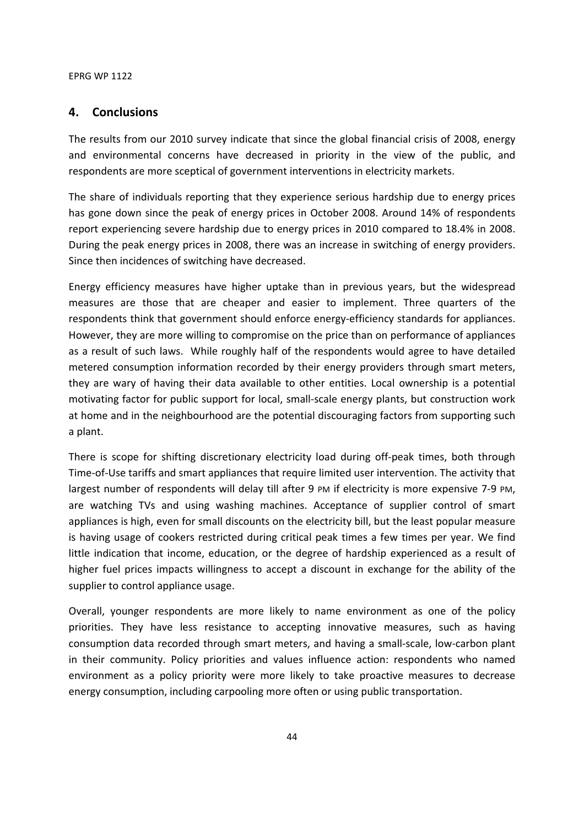## **4. Conclusions**

The results from our 2010 survey indicate that since the global financial crisis of 2008, energy and environmental concerns have decreased in priority in the view of the public, and respondents are more sceptical of government interventions in electricity markets.

The share of individuals reporting that they experience serious hardship due to energy prices has gone down since the peak of energy prices in October 2008. Around 14% of respondents report experiencing severe hardship due to energy prices in 2010 compared to 18.4% in 2008. During the peak energy prices in 2008, there was an increase in switching of energy providers. Since then incidences of switching have decreased.

Energy efficiency measures have higher uptake than in previous years, but the widespread measures are those that are cheaper and easier to implement. Three quarters of the respondents think that government should enforce energy-efficiency standards for appliances. However, they are more willing to compromise on the price than on performance of appliances as a result of such laws. While roughly half of the respondents would agree to have detailed metered consumption information recorded by their energy providers through smart meters, they are wary of having their data available to other entities. Local ownership is a potential motivating factor for public support for local, small-scale energy plants, but construction work at home and in the neighbourhood are the potential discouraging factors from supporting such a plant.

There is scope for shifting discretionary electricity load during off-peak times, both through Time-of-Use tariffs and smart appliances that require limited user intervention. The activity that largest number of respondents will delay till after 9 PM if electricity is more expensive 7-9 PM, are watching TVs and using washing machines. Acceptance of supplier control of smart appliances is high, even for small discounts on the electricity bill, but the least popular measure is having usage of cookers restricted during critical peak times a few times per year. We find little indication that income, education, or the degree of hardship experienced as a result of higher fuel prices impacts willingness to accept a discount in exchange for the ability of the supplier to control appliance usage.

Overall, younger respondents are more likely to name environment as one of the policy priorities. They have less resistance to accepting innovative measures, such as having consumption data recorded through smart meters, and having a small-scale, low-carbon plant in their community. Policy priorities and values influence action: respondents who named environment as a policy priority were more likely to take proactive measures to decrease energy consumption, including carpooling more often or using public transportation.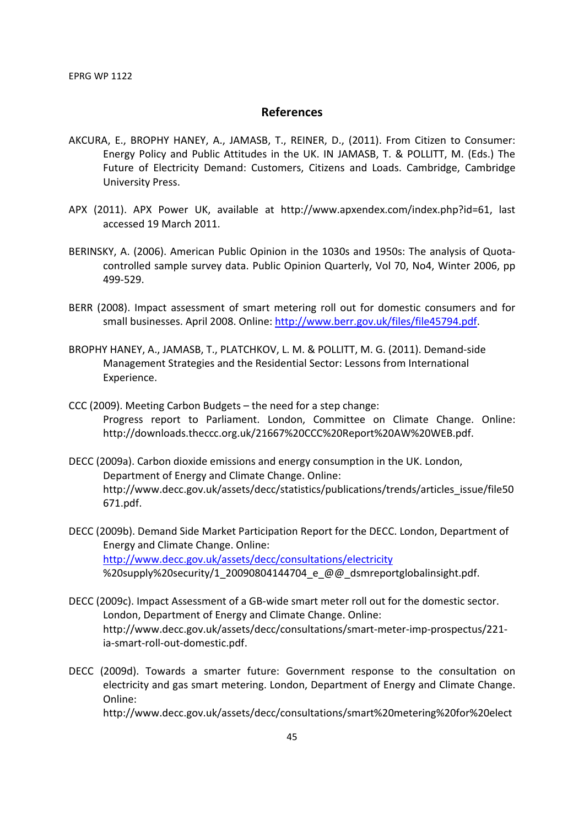## **References**

- AKCURA, E., BROPHY HANEY, A., JAMASB, T., REINER, D., (2011). From Citizen to Consumer: Energy Policy and Public Attitudes in the UK. IN JAMASB, T. & POLLITT, M. (Eds.) The Future of Electricity Demand: Customers, Citizens and Loads. Cambridge, Cambridge University Press.
- APX (2011). APX Power UK, available at http://www.apxendex.com/index.php?id=61, last accessed 19 March 2011.
- BERINSKY, A. (2006). American Public Opinion in the 1030s and 1950s: The analysis of Quotacontrolled sample survey data. Public Opinion Quarterly, Vol 70, No4, Winter 2006, pp 499-529.
- BERR (2008). Impact assessment of smart metering roll out for domestic consumers and for small businesses. April 2008. Online: http://www.berr.gov.uk/files/file45794.pdf.
- BROPHY HANEY, A., JAMASB, T., PLATCHKOV, L. M. & POLLITT, M. G. (2011). Demand-side Management Strategies and the Residential Sector: Lessons from International Experience.
- CCC (2009). Meeting Carbon Budgets the need for a step change: Progress report to Parliament. London, Committee on Climate Change. Online: http://downloads.theccc.org.uk/21667%20CCC%20Report%20AW%20WEB.pdf.
- DECC (2009a). Carbon dioxide emissions and energy consumption in the UK. London, Department of Energy and Climate Change. Online: http://www.decc.gov.uk/assets/decc/statistics/publications/trends/articles\_issue/file50 671.pdf.
- DECC (2009b). Demand Side Market Participation Report for the DECC. London, Department of Energy and Climate Change. Online: http://www.decc.gov.uk/assets/decc/consultations/electricity %20supply%20security/1\_20090804144704\_e\_@@\_dsmreportglobalinsight.pdf.
- DECC (2009c). Impact Assessment of a GB-wide smart meter roll out for the domestic sector. London, Department of Energy and Climate Change. Online: http://www.decc.gov.uk/assets/decc/consultations/smart-meter-imp-prospectus/221 ia-smart-roll-out-domestic.pdf.
- DECC (2009d). Towards a smarter future: Government response to the consultation on electricity and gas smart metering. London, Department of Energy and Climate Change. Online:

http://www.decc.gov.uk/assets/decc/consultations/smart%20metering%20for%20elect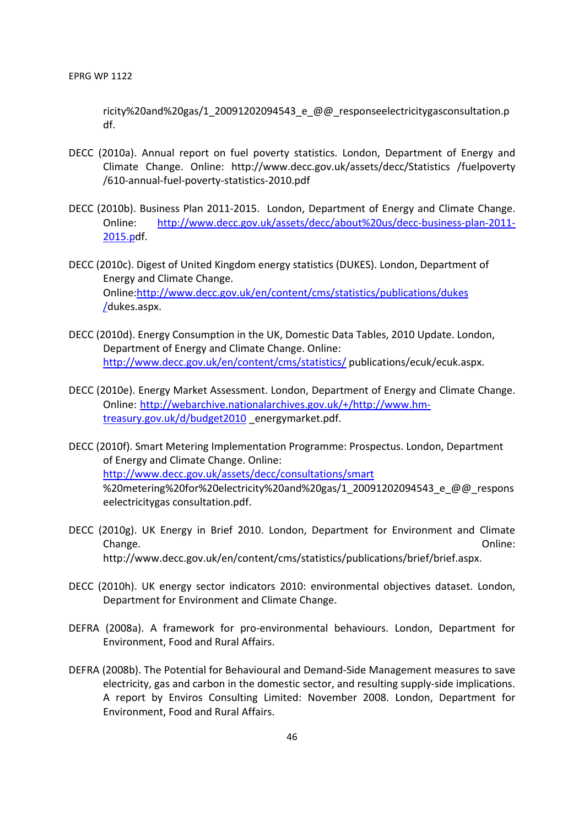ricity%20and%20gas/1\_20091202094543\_e\_@@\_responseelectricitygasconsultation.p df.

- DECC (2010a). Annual report on fuel poverty statistics. London, Department of Energy and Climate Change. Online: http://www.decc.gov.uk/assets/decc/Statistics /fuelpoverty /610-annual-fuel-poverty-statistics-2010.pdf
- DECC (2010b). Business Plan 2011-2015. London, Department of Energy and Climate Change. Online: http://www.decc.gov.uk/assets/decc/about%20us/decc-business-plan-2011- 2015.pdf.
- DECC (2010c). Digest of United Kingdom energy statistics (DUKES). London, Department of Energy and Climate Change. Online:http://www.decc.gov.uk/en/content/cms/statistics/publications/dukes /dukes.aspx.
- DECC (2010d). Energy Consumption in the UK, Domestic Data Tables, 2010 Update. London, Department of Energy and Climate Change. Online: http://www.decc.gov.uk/en/content/cms/statistics/ publications/ecuk/ecuk.aspx.
- DECC (2010e). Energy Market Assessment. London, Department of Energy and Climate Change. Online: http://webarchive.nationalarchives.gov.uk/+/http://www.hmtreasury.gov.uk/d/budget2010 energymarket.pdf.
- DECC (2010f). Smart Metering Implementation Programme: Prospectus. London, Department of Energy and Climate Change. Online: http://www.decc.gov.uk/assets/decc/consultations/smart %20metering%20for%20electricity%20and%20gas/1\_20091202094543\_e\_@@\_respons eelectricitygas consultation.pdf.
- DECC (2010g). UK Energy in Brief 2010. London, Department for Environment and Climate Change. Online: http://www.decc.gov.uk/en/content/cms/statistics/publications/brief/brief.aspx.
- DECC (2010h). UK energy sector indicators 2010: environmental objectives dataset. London, Department for Environment and Climate Change.
- DEFRA (2008a). A framework for pro-environmental behaviours. London, Department for Environment, Food and Rural Affairs.
- DEFRA (2008b). The Potential for Behavioural and Demand-Side Management measures to save electricity, gas and carbon in the domestic sector, and resulting supply-side implications. A report by Enviros Consulting Limited: November 2008. London, Department for Environment, Food and Rural Affairs.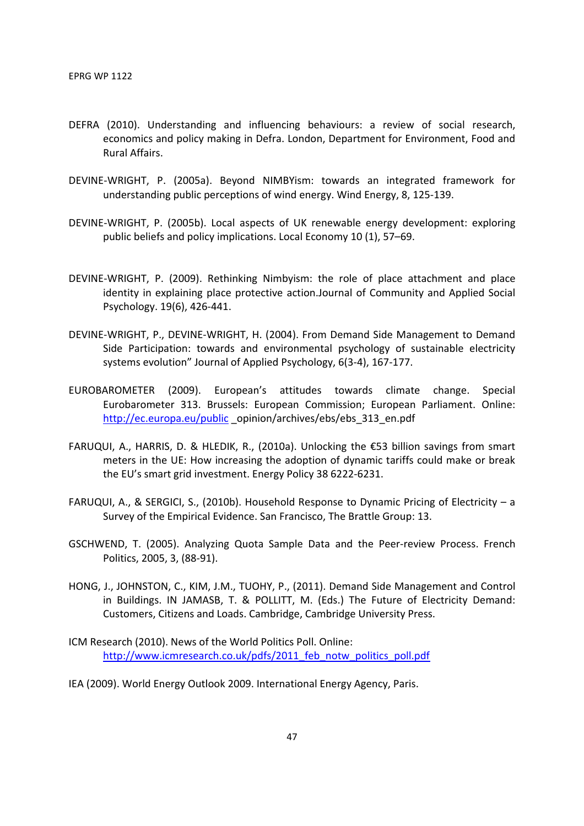- DEFRA (2010). Understanding and influencing behaviours: a review of social research, economics and policy making in Defra. London, Department for Environment, Food and Rural Affairs.
- DEVINE-WRIGHT, P. (2005a). Beyond NIMBYism: towards an integrated framework for understanding public perceptions of wind energy. Wind Energy, 8, 125-139.
- DEVINE-WRIGHT, P. (2005b). Local aspects of UK renewable energy development: exploring public beliefs and policy implications. Local Economy 10 (1), 57–69.
- DEVINE-WRIGHT, P. (2009). Rethinking Nimbyism: the role of place attachment and place identity in explaining place protective action.Journal of Community and Applied Social Psychology. 19(6), 426-441.
- DEVINE-WRIGHT, P., DEVINE-WRIGHT, H. (2004). From Demand Side Management to Demand Side Participation: towards and environmental psychology of sustainable electricity systems evolution" Journal of Applied Psychology, 6(3-4), 167-177.
- EUROBAROMETER (2009). European's attitudes towards climate change. Special Eurobarometer 313. Brussels: European Commission; European Parliament. Online: http://ec.europa.eu/public opinion/archives/ebs/ebs\_313\_en.pdf
- FARUQUI, A., HARRIS, D. & HLEDIK, R., (2010a). Unlocking the €53 billion savings from smart meters in the UE: How increasing the adoption of dynamic tariffs could make or break the EU's smart grid investment. Energy Policy 38 6222-6231.
- FARUQUI, A., & SERGICI, S., (2010b). Household Response to Dynamic Pricing of Electricity a Survey of the Empirical Evidence. San Francisco, The Brattle Group: 13.
- GSCHWEND, T. (2005). Analyzing Quota Sample Data and the Peer-review Process. French Politics, 2005, 3, (88-91).
- HONG, J., JOHNSTON, C., KIM, J.M., TUOHY, P., (2011). Demand Side Management and Control in Buildings. IN JAMASB, T. & POLLITT, M. (Eds.) The Future of Electricity Demand: Customers, Citizens and Loads. Cambridge, Cambridge University Press.
- ICM Research (2010). News of the World Politics Poll. Online: http://www.icmresearch.co.uk/pdfs/2011\_feb\_notw\_politics\_poll.pdf
- IEA (2009). World Energy Outlook 2009. International Energy Agency, Paris.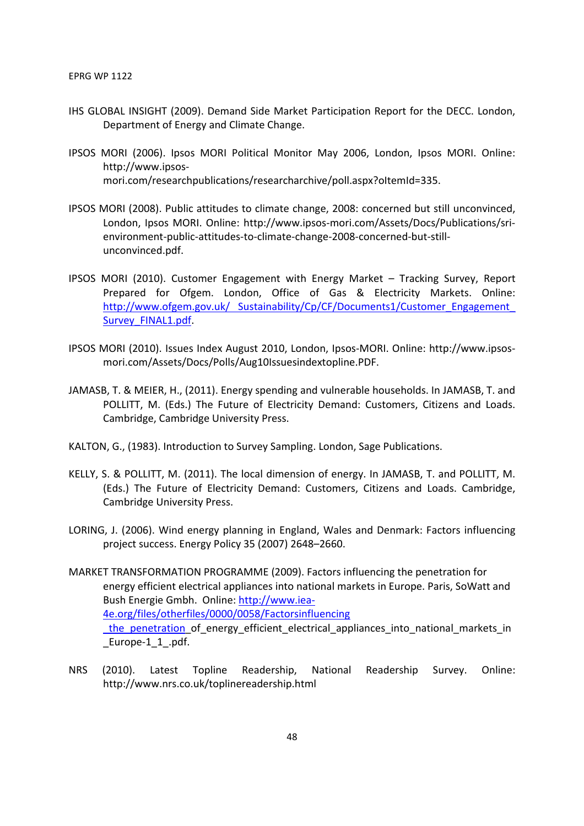- IHS GLOBAL INSIGHT (2009). Demand Side Market Participation Report for the DECC. London, Department of Energy and Climate Change.
- IPSOS MORI (2006). Ipsos MORI Political Monitor May 2006, London, Ipsos MORI. Online: http://www.ipsosmori.com/researchpublications/researcharchive/poll.aspx?oItemId=335.
- IPSOS MORI (2008). Public attitudes to climate change, 2008: concerned but still unconvinced, London, Ipsos MORI. Online: http://www.ipsos-mori.com/Assets/Docs/Publications/srienvironment-public-attitudes-to-climate-change-2008-concerned-but-stillunconvinced.pdf.
- IPSOS MORI (2010). Customer Engagement with Energy Market Tracking Survey, Report Prepared for Ofgem. London, Office of Gas & Electricity Markets. Online: http://www.ofgem.gov.uk/ Sustainability/Cp/CF/Documents1/Customer\_Engagement\_ Survey\_FINAL1.pdf.
- IPSOS MORI (2010). Issues Index August 2010, London, Ipsos-MORI. Online: http://www.ipsosmori.com/Assets/Docs/Polls/Aug10Issuesindextopline.PDF.
- JAMASB, T. & MEIER, H., (2011). Energy spending and vulnerable households. In JAMASB, T. and POLLITT, M. (Eds.) The Future of Electricity Demand: Customers, Citizens and Loads. Cambridge, Cambridge University Press.
- KALTON, G., (1983). Introduction to Survey Sampling. London, Sage Publications.
- KELLY, S. & POLLITT, M. (2011). The local dimension of energy. In JAMASB, T. and POLLITT, M. (Eds.) The Future of Electricity Demand: Customers, Citizens and Loads. Cambridge, Cambridge University Press.
- LORING, J. (2006). Wind energy planning in England, Wales and Denmark: Factors influencing project success. Energy Policy 35 (2007) 2648–2660.
- MARKET TRANSFORMATION PROGRAMME (2009). Factors influencing the penetration for energy efficient electrical appliances into national markets in Europe. Paris, SoWatt and Bush Energie Gmbh. Online: http://www.iea-4e.org/files/otherfiles/0000/0058/Factorsinfluencing the penetration of energy\_efficient electrical\_appliances\_into\_national\_markets\_in Europe-1\_1\_.pdf.
- NRS (2010). Latest Topline Readership, National Readership Survey. Online: http://www.nrs.co.uk/toplinereadership.html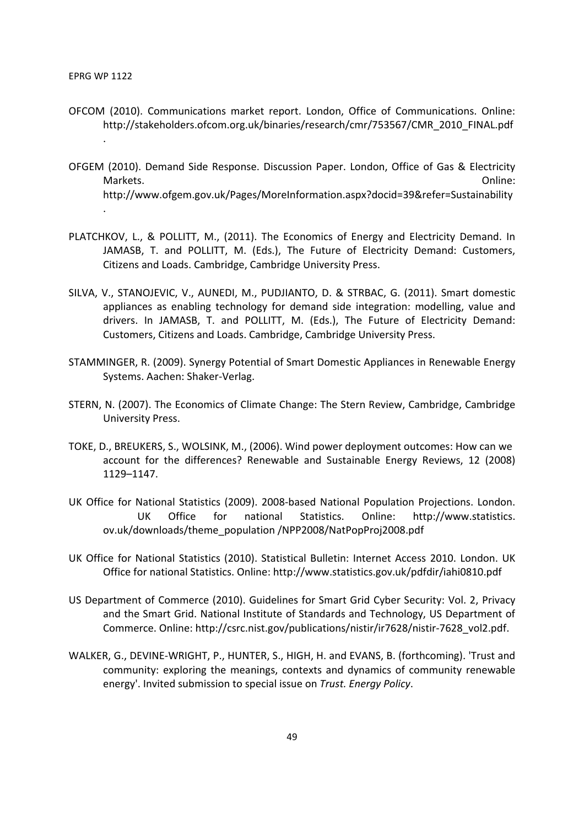.

.

- OFCOM (2010). Communications market report. London, Office of Communications. Online: http://stakeholders.ofcom.org.uk/binaries/research/cmr/753567/CMR\_2010\_FINAL.pdf
- OFGEM (2010). Demand Side Response. Discussion Paper. London, Office of Gas & Electricity Markets. Online: http://www.ofgem.gov.uk/Pages/MoreInformation.aspx?docid=39&refer=Sustainability
- PLATCHKOV, L., & POLLITT, M., (2011). The Economics of Energy and Electricity Demand. In JAMASB, T. and POLLITT, M. (Eds.), The Future of Electricity Demand: Customers, Citizens and Loads. Cambridge, Cambridge University Press.
- SILVA, V., STANOJEVIC, V., AUNEDI, M., PUDJIANTO, D. & STRBAC, G. (2011). Smart domestic appliances as enabling technology for demand side integration: modelling, value and drivers. In JAMASB, T. and POLLITT, M. (Eds.), The Future of Electricity Demand: Customers, Citizens and Loads. Cambridge, Cambridge University Press.
- STAMMINGER, R. (2009). Synergy Potential of Smart Domestic Appliances in Renewable Energy Systems. Aachen: Shaker-Verlag.
- STERN, N. (2007). The Economics of Climate Change: The Stern Review, Cambridge, Cambridge University Press.
- TOKE, D., BREUKERS, S., WOLSINK, M., (2006). Wind power deployment outcomes: How can we account for the differences? Renewable and Sustainable Energy Reviews, 12 (2008) 1129–1147.
- UK Office for National Statistics (2009). 2008-based National Population Projections. London. UK Office for national Statistics. Online: http://www.statistics. ov.uk/downloads/theme\_population /NPP2008/NatPopProj2008.pdf
- UK Office for National Statistics (2010). Statistical Bulletin: Internet Access 2010. London. UK Office for national Statistics. Online: http://www.statistics.gov.uk/pdfdir/iahi0810.pdf
- US Department of Commerce (2010). Guidelines for Smart Grid Cyber Security: Vol. 2, Privacy and the Smart Grid. National Institute of Standards and Technology, US Department of Commerce. Online: http://csrc.nist.gov/publications/nistir/ir7628/nistir-7628\_vol2.pdf.
- WALKER, G., DEVINE-WRIGHT, P., HUNTER, S., HIGH, H. and EVANS, B. (forthcoming). 'Trust and community: exploring the meanings, contexts and dynamics of community renewable energy'. Invited submission to special issue on *Trust. Energy Policy*.